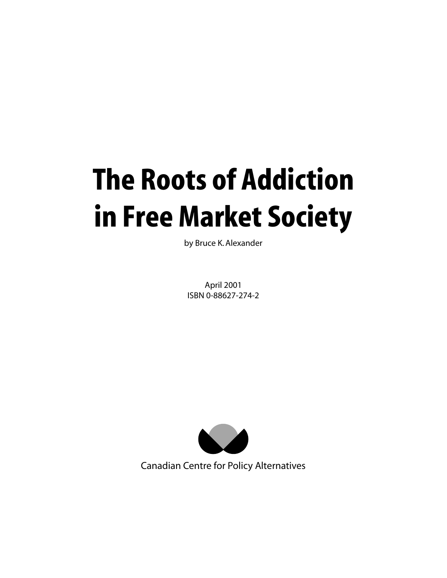# **The Roots of Addiction in Free Market Society**

by Bruce K. Alexander

April 2001 ISBN 0-88627-274-2



Canadian Centre for Policy Alternatives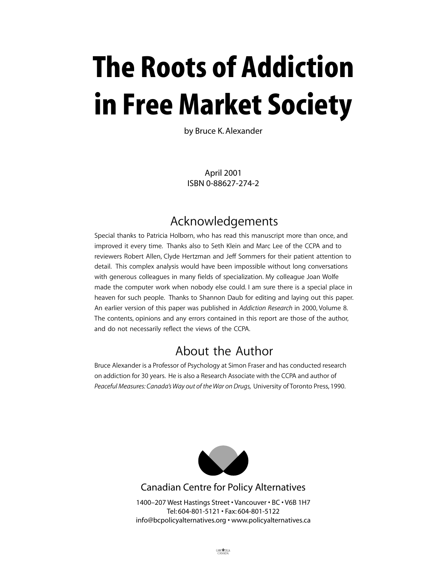# **The Roots of Addiction in Free Market Society**

by Bruce K. Alexander

April 2001 ISBN 0-88627-274-2

## Acknowledgements

Special thanks to Patricia Holborn, who has read this manuscript more than once, and improved it every time. Thanks also to Seth Klein and Marc Lee of the CCPA and to reviewers Robert Allen, Clyde Hertzman and Jeff Sommers for their patient attention to detail. This complex analysis would have been impossible without long conversations with generous colleagues in many fields of specialization. My colleague Joan Wolfe made the computer work when nobody else could. I am sure there is a special place in heaven for such people. Thanks to Shannon Daub for editing and laying out this paper. An earlier version of this paper was published in *Addiction Research* in 2000, Volume 8. The contents, opinions and any errors contained in this report are those of the author, and do not necessarily reflect the views of the CCPA.

## About the Author

Bruce Alexander is a Professor of Psychology at Simon Fraser and has conducted research on addiction for 30 years. He is also a Research Associate with the CCPA and author of *Peaceful Measures: Canada's Way out of the War on Drugs,* University of Toronto Press, 1990.



### Canadian Centre for Policy Alternatives

1400–207 West Hastings Street • Vancouver • BC • V6B 1H7 Tel: 604-801-5121 • Fax: 604-801-5122 info@bcpolicyalternatives.org • www.policyalternatives.ca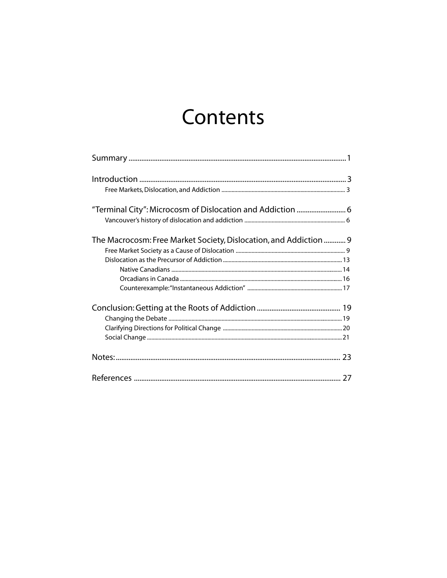## Contents

| The Macrocosm: Free Market Society, Dislocation, and Addiction  9 |  |
|-------------------------------------------------------------------|--|
|                                                                   |  |
|                                                                   |  |
|                                                                   |  |
|                                                                   |  |
|                                                                   |  |
|                                                                   |  |
|                                                                   |  |
|                                                                   |  |
|                                                                   |  |
|                                                                   |  |
|                                                                   |  |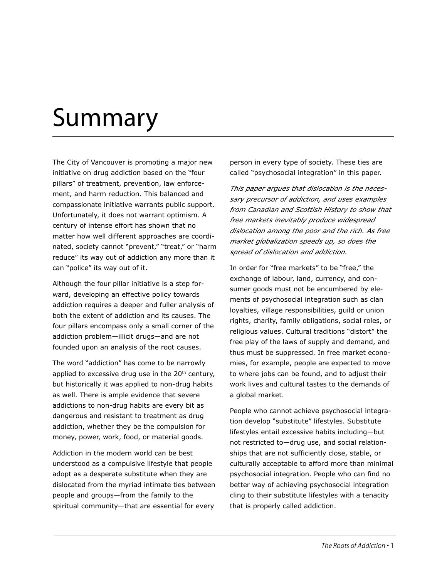## Summary

The City of Vancouver is promoting a major new initiative on drug addiction based on the "four pillars" of treatment, prevention, law enforcement, and harm reduction. This balanced and compassionate initiative warrants public support. Unfortunately, it does not warrant optimism. A century of intense effort has shown that no matter how well different approaches are coordinated, society cannot "prevent," "treat," or "harm reduce" its way out of addiction any more than it can "police" its way out of it.

Although the four pillar initiative is a step forward, developing an effective policy towards addiction requires a deeper and fuller analysis of both the extent of addiction and its causes. The four pillars encompass only a small corner of the addiction problem—illicit drugs—and are not founded upon an analysis of the root causes.

The word "addiction" has come to be narrowly applied to excessive drug use in the  $20<sup>th</sup>$  century, but historically it was applied to non-drug habits as well. There is ample evidence that severe addictions to non-drug habits are every bit as dangerous and resistant to treatment as drug addiction, whether they be the compulsion for money, power, work, food, or material goods.

Addiction in the modern world can be best understood as a compulsive lifestyle that people adopt as a desperate substitute when they are dislocated from the myriad intimate ties between people and groups—from the family to the spiritual community—that are essential for every

person in every type of society. These ties are called "psychosocial integration" in this paper.

*This paper argues that dislocation is the necessary precursor of addiction, and uses examples from Canadian and Scottish History to show that free markets inevitably produce widespread dislocation among the poor and the rich. As free market globalization speeds up, so does the spread of dislocation and addiction.*

In order for "free markets" to be "free," the exchange of labour, land, currency, and consumer goods must not be encumbered by elements of psychosocial integration such as clan loyalties, village responsibilities, guild or union rights, charity, family obligations, social roles, or religious values. Cultural traditions "distort" the free play of the laws of supply and demand, and thus must be suppressed. In free market economies, for example, people are expected to move to where jobs can be found, and to adjust their work lives and cultural tastes to the demands of a global market.

People who cannot achieve psychosocial integration develop "substitute" lifestyles. Substitute lifestyles entail excessive habits including—but not restricted to—drug use, and social relationships that are not sufficiently close, stable, or culturally acceptable to afford more than minimal psychosocial integration. People who can find no better way of achieving psychosocial integration cling to their substitute lifestyles with a tenacity that is properly called addiction.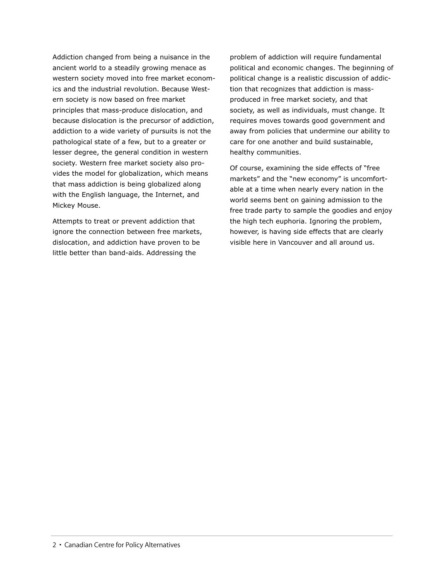Addiction changed from being a nuisance in the ancient world to a steadily growing menace as western society moved into free market economics and the industrial revolution. Because Western society is now based on free market principles that mass-produce dislocation, and because dislocation is the precursor of addiction, addiction to a wide variety of pursuits is not the pathological state of a few, but to a greater or lesser degree, the general condition in western society. Western free market society also provides the model for globalization, which means that mass addiction is being globalized along with the English language, the Internet, and Mickey Mouse.

Attempts to treat or prevent addiction that ignore the connection between free markets, dislocation, and addiction have proven to be little better than band-aids. Addressing the

problem of addiction will require fundamental political and economic changes. The beginning of political change is a realistic discussion of addiction that recognizes that addiction is massproduced in free market society, and that society, as well as individuals, must change. It requires moves towards good government and away from policies that undermine our ability to care for one another and build sustainable, healthy communities.

Of course, examining the side effects of "free markets" and the "new economy" is uncomfortable at a time when nearly every nation in the world seems bent on gaining admission to the free trade party to sample the goodies and enjoy the high tech euphoria. Ignoring the problem, however, is having side effects that are clearly visible here in Vancouver and all around us.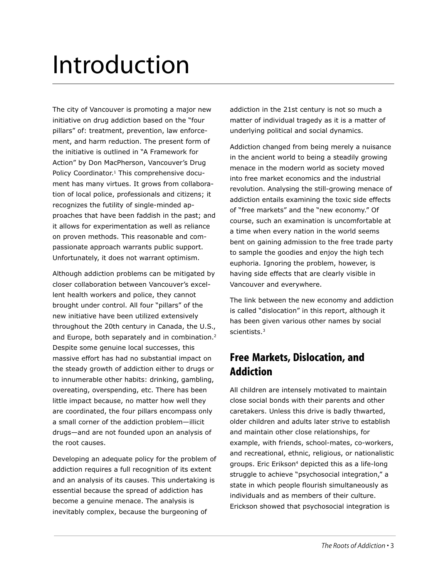## Introduction

The city of Vancouver is promoting a major new initiative on drug addiction based on the "four pillars" of: treatment, prevention, law enforcement, and harm reduction. The present form of the initiative is outlined in "A Framework for Action" by Don MacPherson, Vancouver's Drug Policy Coordinator.<sup>1</sup> This comprehensive document has many virtues. It grows from collaboration of local police, professionals and citizens; it recognizes the futility of single-minded approaches that have been faddish in the past; and it allows for experimentation as well as reliance on proven methods. This reasonable and compassionate approach warrants public support. Unfortunately, it does not warrant optimism.

Although addiction problems can be mitigated by closer collaboration between Vancouver's excellent health workers and police, they cannot brought under control. All four "pillars" of the new initiative have been utilized extensively throughout the 20th century in Canada, the U.S., and Europe, both separately and in combination.<sup>2</sup> Despite some genuine local successes, this massive effort has had no substantial impact on the steady growth of addiction either to drugs or to innumerable other habits: drinking, gambling, overeating, overspending, etc. There has been little impact because, no matter how well they are coordinated, the four pillars encompass only a small corner of the addiction problem—illicit drugs—and are not founded upon an analysis of the root causes.

Developing an adequate policy for the problem of addiction requires a full recognition of its extent and an analysis of its causes. This undertaking is essential because the spread of addiction has become a genuine menace. The analysis is inevitably complex, because the burgeoning of

addiction in the 21st century is not so much a matter of individual tragedy as it is a matter of underlying political and social dynamics.

Addiction changed from being merely a nuisance in the ancient world to being a steadily growing menace in the modern world as society moved into free market economics and the industrial revolution. Analysing the still-growing menace of addiction entails examining the toxic side effects of "free markets" and the "new economy." Of course, such an examination is uncomfortable at a time when every nation in the world seems bent on gaining admission to the free trade party to sample the goodies and enjoy the high tech euphoria. Ignoring the problem, however, is having side effects that are clearly visible in Vancouver and everywhere.

The link between the new economy and addiction is called "dislocation" in this report, although it has been given various other names by social scientists.3

## **Free Markets, Dislocation, and Addiction**

All children are intensely motivated to maintain close social bonds with their parents and other caretakers. Unless this drive is badly thwarted, older children and adults later strive to establish and maintain other close relationships, for example, with friends, school-mates, co-workers, and recreational, ethnic, religious, or nationalistic groups. Eric Erikson<sup>4</sup> depicted this as a life-long struggle to achieve "psychosocial integration," a state in which people flourish simultaneously as individuals and as members of their culture. Erickson showed that psychosocial integration is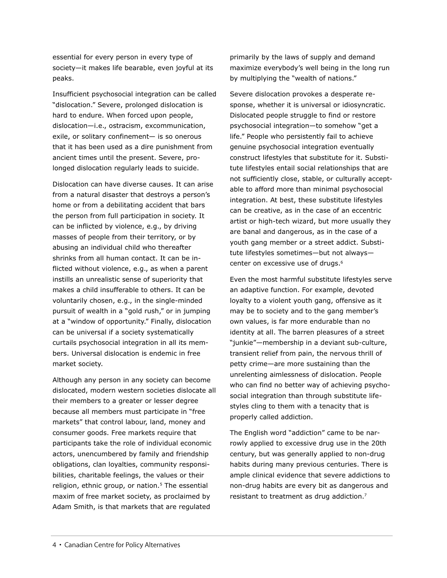essential for every person in every type of society—it makes life bearable, even joyful at its peaks.

Insufficient psychosocial integration can be called "dislocation." Severe, prolonged dislocation is hard to endure. When forced upon people, dislocation—i.e., ostracism, excommunication, exile, or solitary confinement— is so onerous that it has been used as a dire punishment from ancient times until the present. Severe, prolonged dislocation regularly leads to suicide.

Dislocation can have diverse causes. It can arise from a natural disaster that destroys a person's home or from a debilitating accident that bars the person from full participation in society. It can be inflicted by violence, e.g., by driving masses of people from their territory, or by abusing an individual child who thereafter shrinks from all human contact. It can be inflicted without violence, e.g., as when a parent instills an unrealistic sense of superiority that makes a child insufferable to others. It can be voluntarily chosen, e.g., in the single-minded pursuit of wealth in a "gold rush," or in jumping at a "window of opportunity." Finally, dislocation can be universal if a society systematically curtails psychosocial integration in all its members. Universal dislocation is endemic in free market society.

Although any person in any society can become dislocated, modern western societies dislocate all their members to a greater or lesser degree because all members must participate in "free markets" that control labour, land, money and consumer goods. Free markets require that participants take the role of individual economic actors, unencumbered by family and friendship obligations, clan loyalties, community responsibilities, charitable feelings, the values or their religion, ethnic group, or nation.<sup>5</sup> The essential maxim of free market society, as proclaimed by Adam Smith, is that markets that are regulated

primarily by the laws of supply and demand maximize everybody's well being in the long run by multiplying the "wealth of nations."

Severe dislocation provokes a desperate response, whether it is universal or idiosyncratic. Dislocated people struggle to find or restore psychosocial integration—to somehow "get a life." People who persistently fail to achieve genuine psychosocial integration eventually construct lifestyles that substitute for it. Substitute lifestyles entail social relationships that are not sufficiently close, stable, or culturally acceptable to afford more than minimal psychosocial integration. At best, these substitute lifestyles can be creative, as in the case of an eccentric artist or high-tech wizard, but more usually they are banal and dangerous, as in the case of a youth gang member or a street addict. Substitute lifestyles sometimes—but not always center on excessive use of drugs.<sup>6</sup>

Even the most harmful substitute lifestyles serve an adaptive function. For example, devoted loyalty to a violent youth gang, offensive as it may be to society and to the gang member's own values, is far more endurable than no identity at all. The barren pleasures of a street "junkie"—membership in a deviant sub-culture, transient relief from pain, the nervous thrill of petty crime—are more sustaining than the unrelenting aimlessness of dislocation. People who can find no better way of achieving psychosocial integration than through substitute lifestyles cling to them with a tenacity that is properly called addiction.

The English word "addiction" came to be narrowly applied to excessive drug use in the 20th century, but was generally applied to non-drug habits during many previous centuries. There is ample clinical evidence that severe addictions to non-drug habits are every bit as dangerous and resistant to treatment as drug addiction.<sup>7</sup>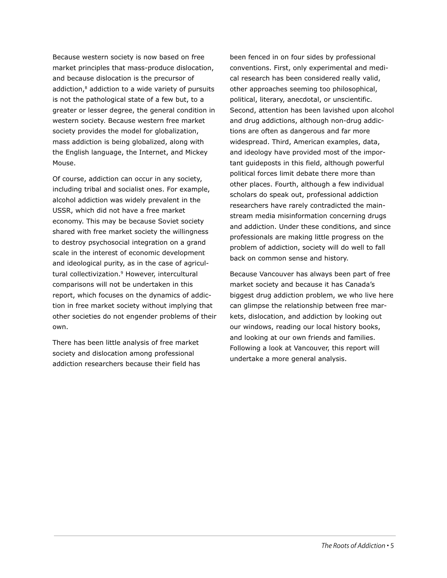Because western society is now based on free market principles that mass-produce dislocation, and because dislocation is the precursor of addiction,<sup>8</sup> addiction to a wide variety of pursuits is not the pathological state of a few but, to a greater or lesser degree, the general condition in western society. Because western free market society provides the model for globalization, mass addiction is being globalized, along with the English language, the Internet, and Mickey Mouse.

Of course, addiction can occur in any society, including tribal and socialist ones. For example, alcohol addiction was widely prevalent in the USSR, which did not have a free market economy. This may be because Soviet society shared with free market society the willingness to destroy psychosocial integration on a grand scale in the interest of economic development and ideological purity, as in the case of agricultural collectivization.<sup>9</sup> However, intercultural comparisons will not be undertaken in this report, which focuses on the dynamics of addiction in free market society without implying that other societies do not engender problems of their own.

There has been little analysis of free market society and dislocation among professional addiction researchers because their field has been fenced in on four sides by professional conventions. First, only experimental and medical research has been considered really valid, other approaches seeming too philosophical, political, literary, anecdotal, or unscientific. Second, attention has been lavished upon alcohol and drug addictions, although non-drug addictions are often as dangerous and far more widespread. Third, American examples, data, and ideology have provided most of the important guideposts in this field, although powerful political forces limit debate there more than other places. Fourth, although a few individual scholars do speak out, professional addiction researchers have rarely contradicted the mainstream media misinformation concerning drugs and addiction. Under these conditions, and since professionals are making little progress on the problem of addiction, society will do well to fall back on common sense and history.

Because Vancouver has always been part of free market society and because it has Canada's biggest drug addiction problem, we who live here can glimpse the relationship between free markets, dislocation, and addiction by looking out our windows, reading our local history books, and looking at our own friends and families. Following a look at Vancouver, this report will undertake a more general analysis.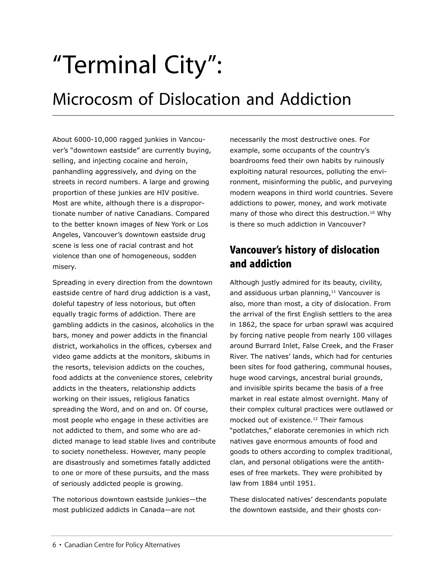# "Terminal City":

## Microcosm of Dislocation and Addiction

About 6000-10,000 ragged junkies in Vancouver's "downtown eastside" are currently buying, selling, and injecting cocaine and heroin, panhandling aggressively, and dying on the streets in record numbers. A large and growing proportion of these junkies are HIV positive. Most are white, although there is a disproportionate number of native Canadians. Compared to the better known images of New York or Los Angeles, Vancouver's downtown eastside drug scene is less one of racial contrast and hot violence than one of homogeneous, sodden misery.

Spreading in every direction from the downtown eastside centre of hard drug addiction is a vast, doleful tapestry of less notorious, but often equally tragic forms of addiction. There are gambling addicts in the casinos, alcoholics in the bars, money and power addicts in the financial district, workaholics in the offices, cybersex and video game addicts at the monitors, skibums in the resorts, television addicts on the couches, food addicts at the convenience stores, celebrity addicts in the theaters, relationship addicts working on their issues, religious fanatics spreading the Word, and on and on. Of course, most people who engage in these activities are not addicted to them, and some who are addicted manage to lead stable lives and contribute to society nonetheless. However, many people are disastrously and sometimes fatally addicted to one or more of these pursuits, and the mass of seriously addicted people is growing.

The notorious downtown eastside junkies—the most publicized addicts in Canada—are not

necessarily the most destructive ones. For example, some occupants of the country's boardrooms feed their own habits by ruinously exploiting natural resources, polluting the environment, misinforming the public, and purveying modern weapons in third world countries. Severe addictions to power, money, and work motivate many of those who direct this destruction.10 Why is there so much addiction in Vancouver?

## **Vancouver's history of dislocation and addiction**

Although justly admired for its beauty, civility, and assiduous urban planning, $11$  Vancouver is also, more than most, a city of dislocation. From the arrival of the first English settlers to the area in 1862, the space for urban sprawl was acquired by forcing native people from nearly 100 villages around Burrard Inlet, False Creek, and the Fraser River. The natives' lands, which had for centuries been sites for food gathering, communal houses, huge wood carvings, ancestral burial grounds, and invisible spirits became the basis of a free market in real estate almost overnight. Many of their complex cultural practices were outlawed or mocked out of existence.12 Their famous "potlatches," elaborate ceremonies in which rich natives gave enormous amounts of food and goods to others according to complex traditional, clan, and personal obligations were the antitheses of free markets. They were prohibited by law from 1884 until 1951.

These dislocated natives' descendants populate the downtown eastside, and their ghosts con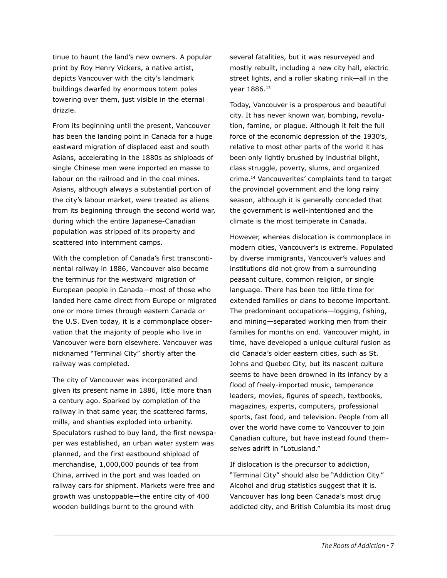tinue to haunt the land's new owners. A popular print by Roy Henry Vickers, a native artist, depicts Vancouver with the city's landmark buildings dwarfed by enormous totem poles towering over them, just visible in the eternal drizzle.

From its beginning until the present, Vancouver has been the landing point in Canada for a huge eastward migration of displaced east and south Asians, accelerating in the 1880s as shiploads of single Chinese men were imported en masse to labour on the railroad and in the coal mines. Asians, although always a substantial portion of the city's labour market, were treated as aliens from its beginning through the second world war, during which the entire Japanese-Canadian population was stripped of its property and scattered into internment camps.

With the completion of Canada's first transcontinental railway in 1886, Vancouver also became the terminus for the westward migration of European people in Canada—most of those who landed here came direct from Europe or migrated one or more times through eastern Canada or the U.S. Even today, it is a commonplace observation that the majority of people who live in Vancouver were born elsewhere. Vancouver was nicknamed "Terminal City" shortly after the railway was completed.

The city of Vancouver was incorporated and given its present name in 1886, little more than a century ago. Sparked by completion of the railway in that same year, the scattered farms, mills, and shanties exploded into urbanity. Speculators rushed to buy land, the first newspaper was established, an urban water system was planned, and the first eastbound shipload of merchandise, 1,000,000 pounds of tea from China, arrived in the port and was loaded on railway cars for shipment. Markets were free and growth was unstoppable—the entire city of 400 wooden buildings burnt to the ground with

several fatalities, but it was resurveyed and mostly rebuilt, including a new city hall, electric street lights, and a roller skating rink—all in the year 1886.13

Today, Vancouver is a prosperous and beautiful city. It has never known war, bombing, revolution, famine, or plague. Although it felt the full force of the economic depression of the 1930's, relative to most other parts of the world it has been only lightly brushed by industrial blight, class struggle, poverty, slums, and organized crime.14 Vancouverites' complaints tend to target the provincial government and the long rainy season, although it is generally conceded that the government is well-intentioned and the climate is the most temperate in Canada.

However, whereas dislocation is commonplace in modern cities, Vancouver's is extreme. Populated by diverse immigrants, Vancouver's values and institutions did not grow from a surrounding peasant culture, common religion, or single language. There has been too little time for extended families or clans to become important. The predominant occupations—logging, fishing, and mining—separated working men from their families for months on end. Vancouver might, in time, have developed a unique cultural fusion as did Canada's older eastern cities, such as St. Johns and Quebec City, but its nascent culture seems to have been drowned in its infancy by a flood of freely-imported music, temperance leaders, movies, figures of speech, textbooks, magazines, experts, computers, professional sports, fast food, and television. People from all over the world have come to Vancouver to join Canadian culture, but have instead found themselves adrift in "Lotusland."

If dislocation is the precursor to addiction, "Terminal City" should also be "Addiction City." Alcohol and drug statistics suggest that it is. Vancouver has long been Canada's most drug addicted city, and British Columbia its most drug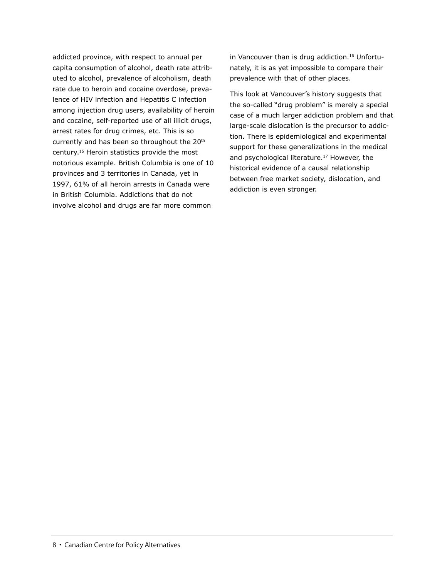addicted province, with respect to annual per capita consumption of alcohol, death rate attributed to alcohol, prevalence of alcoholism, death rate due to heroin and cocaine overdose, prevalence of HIV infection and Hepatitis C infection among injection drug users, availability of heroin and cocaine, self-reported use of all illicit drugs, arrest rates for drug crimes, etc. This is so currently and has been so throughout the 20<sup>th</sup> century.15 Heroin statistics provide the most notorious example. British Columbia is one of 10 provinces and 3 territories in Canada, yet in 1997, 61% of all heroin arrests in Canada were in British Columbia. Addictions that do not involve alcohol and drugs are far more common

in Vancouver than is drug addiction.<sup>16</sup> Unfortunately, it is as yet impossible to compare their prevalence with that of other places.

This look at Vancouver's history suggests that the so-called "drug problem" is merely a special case of a much larger addiction problem and that large-scale dislocation is the precursor to addiction. There is epidemiological and experimental support for these generalizations in the medical and psychological literature.<sup>17</sup> However, the historical evidence of a causal relationship between free market society, dislocation, and addiction is even stronger.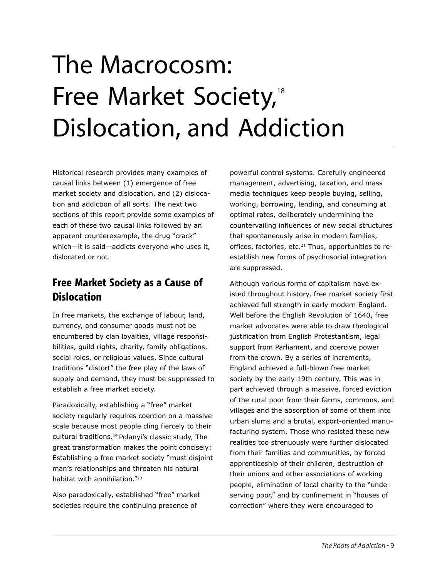## The Macrocosm: Free Market Society,<sup>18</sup> Dislocation, and Addiction

Historical research provides many examples of causal links between (1) emergence of free market society and dislocation, and (2) dislocation and addiction of all sorts. The next two sections of this report provide some examples of each of these two causal links followed by an apparent counterexample, the drug "crack" which—it is said—addicts everyone who uses it, dislocated or not.

## **Free Market Society as a Cause of Dislocation**

In free markets, the exchange of labour, land, currency, and consumer goods must not be encumbered by clan loyalties, village responsibilities, guild rights, charity, family obligations, social roles, or religious values. Since cultural traditions "distort" the free play of the laws of supply and demand, they must be suppressed to establish a free market society.

Paradoxically, establishing a "free" market society regularly requires coercion on a massive scale because most people cling fiercely to their cultural traditions.19 Polanyi's classic study, The great transformation makes the point concisely: Establishing a free market society "must disjoint man's relationships and threaten his natural habitat with annihilation."20

Also paradoxically, established "free" market societies require the continuing presence of

powerful control systems. Carefully engineered management, advertising, taxation, and mass media techniques keep people buying, selling, working, borrowing, lending, and consuming at optimal rates, deliberately undermining the countervailing influences of new social structures that spontaneously arise in modern families, offices, factories, etc. $21$  Thus, opportunities to reestablish new forms of psychosocial integration are suppressed.

Although various forms of capitalism have existed throughout history, free market society first achieved full strength in early modern England. Well before the English Revolution of 1640, free market advocates were able to draw theological justification from English Protestantism, legal support from Parliament, and coercive power from the crown. By a series of increments, England achieved a full-blown free market society by the early 19th century. This was in part achieved through a massive, forced eviction of the rural poor from their farms, commons, and villages and the absorption of some of them into urban slums and a brutal, export-oriented manufacturing system. Those who resisted these new realities too strenuously were further dislocated from their families and communities, by forced apprenticeship of their children, destruction of their unions and other associations of working people, elimination of local charity to the "undeserving poor," and by confinement in "houses of correction" where they were encouraged to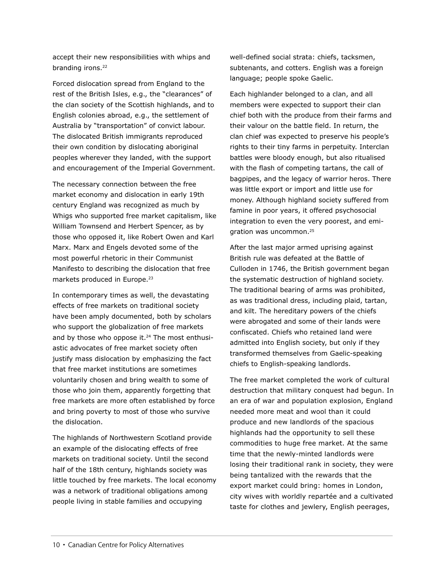accept their new responsibilities with whips and branding irons.<sup>22</sup>

Forced dislocation spread from England to the rest of the British Isles, e.g., the "clearances" of the clan society of the Scottish highlands, and to English colonies abroad, e.g., the settlement of Australia by "transportation" of convict labour. The dislocated British immigrants reproduced their own condition by dislocating aboriginal peoples wherever they landed, with the support and encouragement of the Imperial Government.

The necessary connection between the free market economy and dislocation in early 19th century England was recognized as much by Whigs who supported free market capitalism, like William Townsend and Herbert Spencer, as by those who opposed it, like Robert Owen and Karl Marx. Marx and Engels devoted some of the most powerful rhetoric in their Communist Manifesto to describing the dislocation that free markets produced in Europe.<sup>23</sup>

In contemporary times as well, the devastating effects of free markets on traditional society have been amply documented, both by scholars who support the globalization of free markets and by those who oppose it.<sup>24</sup> The most enthusiastic advocates of free market society often justify mass dislocation by emphasizing the fact that free market institutions are sometimes voluntarily chosen and bring wealth to some of those who join them, apparently forgetting that free markets are more often established by force and bring poverty to most of those who survive the dislocation.

The highlands of Northwestern Scotland provide an example of the dislocating effects of free markets on traditional society. Until the second half of the 18th century, highlands society was little touched by free markets. The local economy was a network of traditional obligations among people living in stable families and occupying

well-defined social strata: chiefs, tacksmen, subtenants, and cotters. English was a foreign language; people spoke Gaelic.

Each highlander belonged to a clan, and all members were expected to support their clan chief both with the produce from their farms and their valour on the battle field. In return, the clan chief was expected to preserve his people's rights to their tiny farms in perpetuity. Interclan battles were bloody enough, but also ritualised with the flash of competing tartans, the call of bagpipes, and the legacy of warrior heros. There was little export or import and little use for money. Although highland society suffered from famine in poor years, it offered psychosocial integration to even the very poorest, and emigration was uncommon.25

After the last major armed uprising against British rule was defeated at the Battle of Culloden in 1746, the British government began the systematic destruction of highland society. The traditional bearing of arms was prohibited, as was traditional dress, including plaid, tartan, and kilt. The hereditary powers of the chiefs were abrogated and some of their lands were confiscated. Chiefs who retained land were admitted into English society, but only if they transformed themselves from Gaelic-speaking chiefs to English-speaking landlords.

The free market completed the work of cultural destruction that military conquest had begun. In an era of war and population explosion, England needed more meat and wool than it could produce and new landlords of the spacious highlands had the opportunity to sell these commodities to huge free market. At the same time that the newly-minted landlords were losing their traditional rank in society, they were being tantalized with the rewards that the export market could bring: homes in London, city wives with worldly repartée and a cultivated taste for clothes and jewlery, English peerages,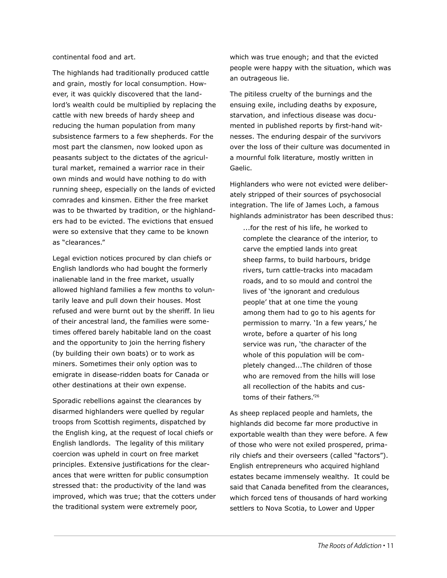continental food and art.

The highlands had traditionally produced cattle and grain, mostly for local consumption. However, it was quickly discovered that the landlord's wealth could be multiplied by replacing the cattle with new breeds of hardy sheep and reducing the human population from many subsistence farmers to a few shepherds. For the most part the clansmen, now looked upon as peasants subject to the dictates of the agricultural market, remained a warrior race in their own minds and would have nothing to do with running sheep, especially on the lands of evicted comrades and kinsmen. Either the free market was to be thwarted by tradition, or the highlanders had to be evicted. The evictions that ensued were so extensive that they came to be known as "clearances."

Legal eviction notices procured by clan chiefs or English landlords who had bought the formerly inalienable land in the free market, usually allowed highland families a few months to voluntarily leave and pull down their houses. Most refused and were burnt out by the sheriff. In lieu of their ancestral land, the families were sometimes offered barely habitable land on the coast and the opportunity to join the herring fishery (by building their own boats) or to work as miners. Sometimes their only option was to emigrate in disease-ridden boats for Canada or other destinations at their own expense.

Sporadic rebellions against the clearances by disarmed highlanders were quelled by regular troops from Scottish regiments, dispatched by the English king, at the request of local chiefs or English landlords. The legality of this military coercion was upheld in court on free market principles. Extensive justifications for the clearances that were written for public consumption stressed that: the productivity of the land was improved, which was true; that the cotters under the traditional system were extremely poor,

which was true enough; and that the evicted people were happy with the situation, which was an outrageous lie.

The pitiless cruelty of the burnings and the ensuing exile, including deaths by exposure, starvation, and infectious disease was documented in published reports by first-hand witnesses. The enduring despair of the survivors over the loss of their culture was documented in a mournful folk literature, mostly written in Gaelic.

Highlanders who were not evicted were deliberately stripped of their sources of psychosocial integration. The life of James Loch, a famous highlands administrator has been described thus:

...for the rest of his life, he worked to complete the clearance of the interior, to carve the emptied lands into great sheep farms, to build harbours, bridge rivers, turn cattle-tracks into macadam roads, and to so mould and control the lives of 'the ignorant and credulous people' that at one time the young among them had to go to his agents for permission to marry. 'In a few years,' he wrote, before a quarter of his long service was run, 'the character of the whole of this population will be completely changed...The children of those who are removed from the hills will lose all recollection of the habits and customs of their fathers.'26

As sheep replaced people and hamlets, the highlands did become far more productive in exportable wealth than they were before. A few of those who were not exiled prospered, primarily chiefs and their overseers (called "factors"). English entrepreneurs who acquired highland estates became immensely wealthy. It could be said that Canada benefited from the clearances, which forced tens of thousands of hard working settlers to Nova Scotia, to Lower and Upper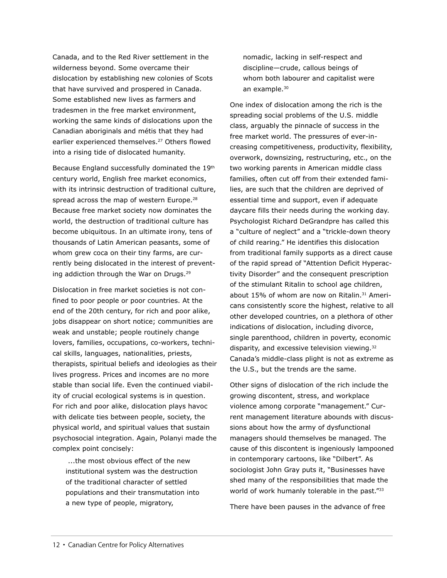Canada, and to the Red River settlement in the wilderness beyond. Some overcame their dislocation by establishing new colonies of Scots that have survived and prospered in Canada. Some established new lives as farmers and tradesmen in the free market environment, working the same kinds of dislocations upon the Canadian aboriginals and métis that they had earlier experienced themselves.<sup>27</sup> Others flowed into a rising tide of dislocated humanity.

Because England successfully dominated the 19th century world, English free market economics, with its intrinsic destruction of traditional culture, spread across the map of western Europe.<sup>28</sup> Because free market society now dominates the world, the destruction of traditional culture has become ubiquitous. In an ultimate irony, tens of thousands of Latin American peasants, some of whom grew coca on their tiny farms, are currently being dislocated in the interest of preventing addiction through the War on Drugs.<sup>29</sup>

Dislocation in free market societies is not confined to poor people or poor countries. At the end of the 20th century, for rich and poor alike, jobs disappear on short notice; communities are weak and unstable; people routinely change lovers, families, occupations, co-workers, technical skills, languages, nationalities, priests, therapists, spiritual beliefs and ideologies as their lives progress. Prices and incomes are no more stable than social life. Even the continued viability of crucial ecological systems is in question. For rich and poor alike, dislocation plays havoc with delicate ties between people, society, the physical world, and spiritual values that sustain psychosocial integration. Again, Polanyi made the complex point concisely:

 ...the most obvious effect of the new institutional system was the destruction of the traditional character of settled populations and their transmutation into a new type of people, migratory,

nomadic, lacking in self-respect and discipline—crude, callous beings of whom both labourer and capitalist were an example.<sup>30</sup>

One index of dislocation among the rich is the spreading social problems of the U.S. middle class, arguably the pinnacle of success in the free market world. The pressures of ever-increasing competitiveness, productivity, flexibility, overwork, downsizing, restructuring, etc., on the two working parents in American middle class families, often cut off from their extended families, are such that the children are deprived of essential time and support, even if adequate daycare fills their needs during the working day. Psychologist Richard DeGrandpre has called this a "culture of neglect" and a "trickle-down theory of child rearing." He identifies this dislocation from traditional family supports as a direct cause of the rapid spread of "Attention Deficit Hyperactivity Disorder" and the consequent prescription of the stimulant Ritalin to school age children, about 15% of whom are now on Ritalin.<sup>31</sup> Americans consistently score the highest, relative to all other developed countries, on a plethora of other indications of dislocation, including divorce, single parenthood, children in poverty, economic disparity, and excessive television viewing.<sup>32</sup> Canada's middle-class plight is not as extreme as the U.S., but the trends are the same.

Other signs of dislocation of the rich include the growing discontent, stress, and workplace violence among corporate "management." Current management literature abounds with discussions about how the army of dysfunctional managers should themselves be managed. The cause of this discontent is ingeniously lampooned in contemporary cartoons, like "Dilbert". As sociologist John Gray puts it, "Businesses have shed many of the responsibilities that made the world of work humanly tolerable in the past."33

There have been pauses in the advance of free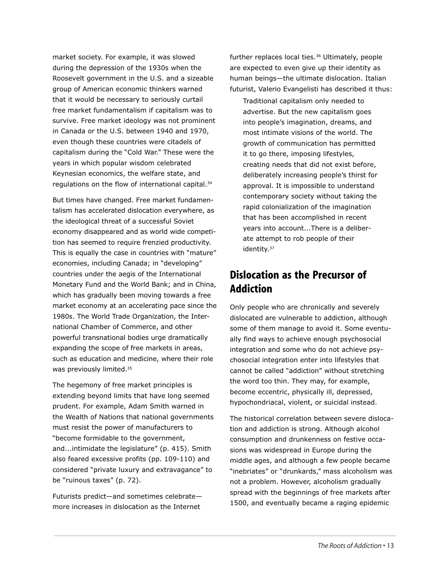market society. For example, it was slowed during the depression of the 1930s when the Roosevelt government in the U.S. and a sizeable group of American economic thinkers warned that it would be necessary to seriously curtail free market fundamentalism if capitalism was to survive. Free market ideology was not prominent in Canada or the U.S. between 1940 and 1970, even though these countries were citadels of capitalism during the "Cold War." These were the years in which popular wisdom celebrated Keynesian economics, the welfare state, and regulations on the flow of international capital.34

But times have changed. Free market fundamentalism has accelerated dislocation everywhere, as the ideological threat of a successful Soviet economy disappeared and as world wide competition has seemed to require frenzied productivity. This is equally the case in countries with "mature" economies, including Canada; in "developing" countries under the aegis of the International Monetary Fund and the World Bank; and in China, which has gradually been moving towards a free market economy at an accelerating pace since the 1980s. The World Trade Organization, the International Chamber of Commerce, and other powerful transnational bodies urge dramatically expanding the scope of free markets in areas, such as education and medicine, where their role was previously limited.<sup>35</sup>

The hegemony of free market principles is extending beyond limits that have long seemed prudent. For example, Adam Smith warned in the Wealth of Nations that national governments must resist the power of manufacturers to "become formidable to the government, and...intimidate the legislature" (p. 415). Smith also feared excessive profits (pp. 109-110) and considered "private luxury and extravagance" to be "ruinous taxes" (p. 72).

Futurists predict—and sometimes celebrate more increases in dislocation as the Internet

further replaces local ties.36 Ultimately, people are expected to even give up their identity as human beings—the ultimate dislocation. Italian futurist, Valerio Evangelisti has described it thus:

Traditional capitalism only needed to advertise. But the new capitalism goes into people's imagination, dreams, and most intimate visions of the world. The growth of communication has permitted it to go there, imposing lifestyles, creating needs that did not exist before, deliberately increasing people's thirst for approval. It is impossible to understand contemporary society without taking the rapid colonialization of the imagination that has been accomplished in recent years into account...There is a deliberate attempt to rob people of their identity.<sup>37</sup>

## **Dislocation as the Precursor of Addiction**

Only people who are chronically and severely dislocated are vulnerable to addiction, although some of them manage to avoid it. Some eventually find ways to achieve enough psychosocial integration and some who do not achieve psychosocial integration enter into lifestyles that cannot be called "addiction" without stretching the word too thin. They may, for example, become eccentric, physically ill, depressed, hypochondriacal, violent, or suicidal instead.

The historical correlation between severe dislocation and addiction is strong. Although alcohol consumption and drunkenness on festive occasions was widespread in Europe during the middle ages, and although a few people became "inebriates" or "drunkards," mass alcoholism was not a problem. However, alcoholism gradually spread with the beginnings of free markets after 1500, and eventually became a raging epidemic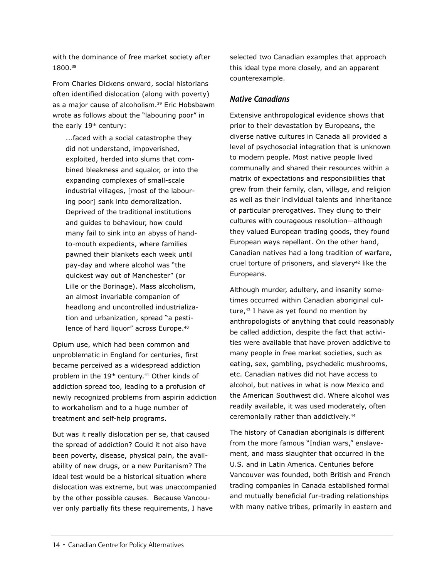with the dominance of free market society after 1800.38

From Charles Dickens onward, social historians often identified dislocation (along with poverty) as a major cause of alcoholism.<sup>39</sup> Eric Hobsbawm wrote as follows about the "labouring poor" in the early 19<sup>th</sup> century:

...faced with a social catastrophe they did not understand, impoverished, exploited, herded into slums that combined bleakness and squalor, or into the expanding complexes of small-scale industrial villages, [most of the labouring poor] sank into demoralization. Deprived of the traditional institutions and guides to behaviour, how could many fail to sink into an abyss of handto-mouth expedients, where families pawned their blankets each week until pay-day and where alcohol was "the quickest way out of Manchester" (or Lille or the Borinage). Mass alcoholism, an almost invariable companion of headlong and uncontrolled industrialization and urbanization, spread "a pestilence of hard liquor" across Europe.40

Opium use, which had been common and unproblematic in England for centuries, first became perceived as a widespread addiction problem in the 19<sup>th</sup> century.<sup>41</sup> Other kinds of addiction spread too, leading to a profusion of newly recognized problems from aspirin addiction to workaholism and to a huge number of treatment and self-help programs.

But was it really dislocation per se, that caused the spread of addiction? Could it not also have been poverty, disease, physical pain, the availability of new drugs, or a new Puritanism? The ideal test would be a historical situation where dislocation was extreme, but was unaccompanied by the other possible causes. Because Vancouver only partially fits these requirements, I have

selected two Canadian examples that approach this ideal type more closely, and an apparent counterexample.

#### *Native Canadians*

Extensive anthropological evidence shows that prior to their devastation by Europeans, the diverse native cultures in Canada all provided a level of psychosocial integration that is unknown to modern people. Most native people lived communally and shared their resources within a matrix of expectations and responsibilities that grew from their family, clan, village, and religion as well as their individual talents and inheritance of particular prerogatives. They clung to their cultures with courageous resolution—although they valued European trading goods, they found European ways repellant. On the other hand, Canadian natives had a long tradition of warfare, cruel torture of prisoners, and slavery<sup>42</sup> like the Europeans.

Although murder, adultery, and insanity sometimes occurred within Canadian aboriginal culture, $43$  I have as yet found no mention by anthropologists of anything that could reasonably be called addiction, despite the fact that activities were available that have proven addictive to many people in free market societies, such as eating, sex, gambling, psychedelic mushrooms, etc. Canadian natives did not have access to alcohol, but natives in what is now Mexico and the American Southwest did. Where alcohol was readily available, it was used moderately, often ceremonially rather than addictively.44

The history of Canadian aboriginals is different from the more famous "Indian wars," enslavement, and mass slaughter that occurred in the U.S. and in Latin America. Centuries before Vancouver was founded, both British and French trading companies in Canada established formal and mutually beneficial fur-trading relationships with many native tribes, primarily in eastern and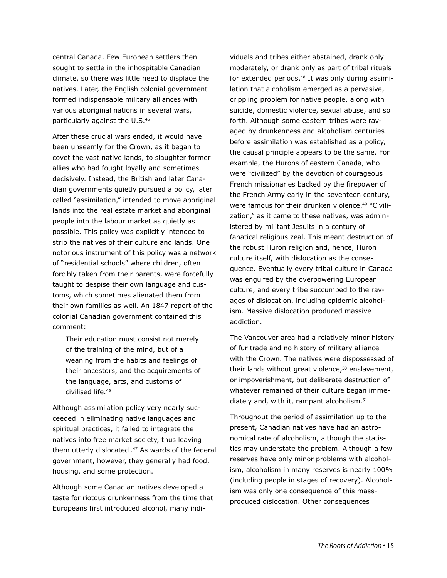central Canada. Few European settlers then sought to settle in the inhospitable Canadian climate, so there was little need to displace the natives. Later, the English colonial government formed indispensable military alliances with various aboriginal nations in several wars, particularly against the U.S.45

After these crucial wars ended, it would have been unseemly for the Crown, as it began to covet the vast native lands, to slaughter former allies who had fought loyally and sometimes decisively. Instead, the British and later Canadian governments quietly pursued a policy, later called "assimilation," intended to move aboriginal lands into the real estate market and aboriginal people into the labour market as quietly as possible. This policy was explicitly intended to strip the natives of their culture and lands. One notorious instrument of this policy was a network of "residential schools" where children, often forcibly taken from their parents, were forcefully taught to despise their own language and customs, which sometimes alienated them from their own families as well. An 1847 report of the colonial Canadian government contained this comment:

Their education must consist not merely of the training of the mind, but of a weaning from the habits and feelings of their ancestors, and the acquirements of the language, arts, and customs of civilised life.46

Although assimilation policy very nearly succeeded in eliminating native languages and spiritual practices, it failed to integrate the natives into free market society, thus leaving them utterly dislocated .<sup>47</sup> As wards of the federal government, however, they generally had food, housing, and some protection.

Although some Canadian natives developed a taste for riotous drunkenness from the time that Europeans first introduced alcohol, many individuals and tribes either abstained, drank only moderately, or drank only as part of tribal rituals for extended periods.<sup>48</sup> It was only during assimilation that alcoholism emerged as a pervasive, crippling problem for native people, along with suicide, domestic violence, sexual abuse, and so forth. Although some eastern tribes were ravaged by drunkenness and alcoholism centuries before assimilation was established as a policy, the causal principle appears to be the same. For example, the Hurons of eastern Canada, who were "civilized" by the devotion of courageous French missionaries backed by the firepower of the French Army early in the seventeen century, were famous for their drunken violence.<sup>49</sup> "Civilization," as it came to these natives, was administered by militant Jesuits in a century of fanatical religious zeal. This meant destruction of the robust Huron religion and, hence, Huron culture itself, with dislocation as the consequence. Eventually every tribal culture in Canada was engulfed by the overpowering European culture, and every tribe succumbed to the ravages of dislocation, including epidemic alcoholism. Massive dislocation produced massive addiction.

The Vancouver area had a relatively minor history of fur trade and no history of military alliance with the Crown. The natives were dispossessed of their lands without great violence,<sup>50</sup> enslavement, or impoverishment, but deliberate destruction of whatever remained of their culture began immediately and, with it, rampant alcoholism.<sup>51</sup>

Throughout the period of assimilation up to the present, Canadian natives have had an astronomical rate of alcoholism, although the statistics may understate the problem. Although a few reserves have only minor problems with alcoholism, alcoholism in many reserves is nearly 100% (including people in stages of recovery). Alcoholism was only one consequence of this massproduced dislocation. Other consequences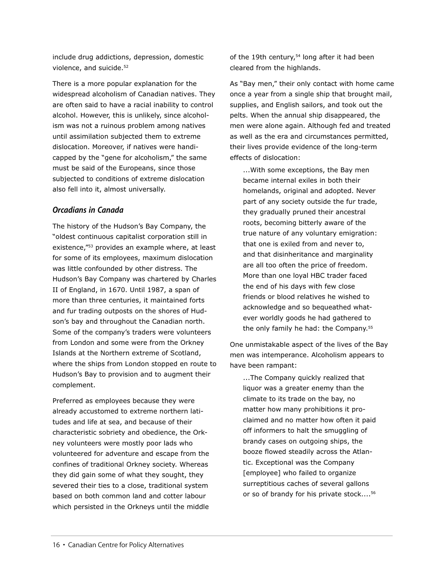include drug addictions, depression, domestic violence, and suicide.<sup>52</sup>

There is a more popular explanation for the widespread alcoholism of Canadian natives. They are often said to have a racial inability to control alcohol. However, this is unlikely, since alcoholism was not a ruinous problem among natives until assimilation subjected them to extreme dislocation. Moreover, if natives were handicapped by the "gene for alcoholism," the same must be said of the Europeans, since those subjected to conditions of extreme dislocation also fell into it, almost universally.

#### *Orcadians in Canada*

The history of the Hudson's Bay Company, the "oldest continuous capitalist corporation still in existence,"53 provides an example where, at least for some of its employees, maximum dislocation was little confounded by other distress. The Hudson's Bay Company was chartered by Charles II of England, in 1670. Until 1987, a span of more than three centuries, it maintained forts and fur trading outposts on the shores of Hudson's bay and throughout the Canadian north. Some of the company's traders were volunteers from London and some were from the Orkney Islands at the Northern extreme of Scotland, where the ships from London stopped en route to Hudson's Bay to provision and to augment their complement.

Preferred as employees because they were already accustomed to extreme northern latitudes and life at sea, and because of their characteristic sobriety and obedience, the Orkney volunteers were mostly poor lads who volunteered for adventure and escape from the confines of traditional Orkney society. Whereas they did gain some of what they sought, they severed their ties to a close, traditional system based on both common land and cotter labour which persisted in the Orkneys until the middle of the 19th century,<sup>54</sup> long after it had been cleared from the highlands.

As "Bay men," their only contact with home came once a year from a single ship that brought mail, supplies, and English sailors, and took out the pelts. When the annual ship disappeared, the men were alone again. Although fed and treated as well as the era and circumstances permitted, their lives provide evidence of the long-term effects of dislocation:

...With some exceptions, the Bay men became internal exiles in both their homelands, original and adopted. Never part of any society outside the fur trade, they gradually pruned their ancestral roots, becoming bitterly aware of the true nature of any voluntary emigration: that one is exiled from and never to, and that disinheritance and marginality are all too often the price of freedom. More than one loyal HBC trader faced the end of his days with few close friends or blood relatives he wished to acknowledge and so bequeathed whatever worldly goods he had gathered to the only family he had: the Company.55

One unmistakable aspect of the lives of the Bay men was intemperance. Alcoholism appears to have been rampant:

...The Company quickly realized that liquor was a greater enemy than the climate to its trade on the bay, no matter how many prohibitions it proclaimed and no matter how often it paid off informers to halt the smuggling of brandy cases on outgoing ships, the booze flowed steadily across the Atlantic. Exceptional was the Company [employee] who failed to organize surreptitious caches of several gallons or so of brandy for his private stock....<sup>56</sup>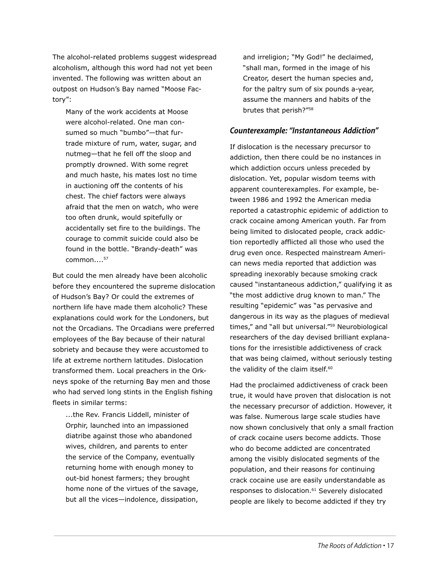The alcohol-related problems suggest widespread alcoholism, although this word had not yet been invented. The following was written about an outpost on Hudson's Bay named "Moose Factory":

Many of the work accidents at Moose were alcohol-related. One man consumed so much "bumbo"—that furtrade mixture of rum, water, sugar, and nutmeg—that he fell off the sloop and promptly drowned. With some regret and much haste, his mates lost no time in auctioning off the contents of his chest. The chief factors were always afraid that the men on watch, who were too often drunk, would spitefully or accidentally set fire to the buildings. The courage to commit suicide could also be found in the bottle. "Brandy-death" was common....57

But could the men already have been alcoholic before they encountered the supreme dislocation of Hudson's Bay? Or could the extremes of northern life have made them alcoholic? These explanations could work for the Londoners, but not the Orcadians. The Orcadians were preferred employees of the Bay because of their natural sobriety and because they were accustomed to life at extreme northern latitudes. Dislocation transformed them. Local preachers in the Orkneys spoke of the returning Bay men and those who had served long stints in the English fishing fleets in similar terms:

...the Rev. Francis Liddell, minister of Orphir, launched into an impassioned diatribe against those who abandoned wives, children, and parents to enter the service of the Company, eventually returning home with enough money to out-bid honest farmers; they brought home none of the virtues of the savage, but all the vices—indolence, dissipation, and irreligion; "My God!" he declaimed, "shall man, formed in the image of his Creator, desert the human species and, for the paltry sum of six pounds a-year, assume the manners and habits of the brutes that perish?"58

#### *Counterexample: "Instantaneous Addiction"*

If dislocation is the necessary precursor to addiction, then there could be no instances in which addiction occurs unless preceded by dislocation. Yet, popular wisdom teems with apparent counterexamples. For example, between 1986 and 1992 the American media reported a catastrophic epidemic of addiction to crack cocaine among American youth. Far from being limited to dislocated people, crack addiction reportedly afflicted all those who used the drug even once. Respected mainstream American news media reported that addiction was spreading inexorably because smoking crack caused "instantaneous addiction," qualifying it as "the most addictive drug known to man." The resulting "epidemic" was "as pervasive and dangerous in its way as the plagues of medieval times," and "all but universal."59 Neurobiological researchers of the day devised brilliant explanations for the irresistible addictiveness of crack that was being claimed, without seriously testing the validity of the claim itself.<sup>60</sup>

Had the proclaimed addictiveness of crack been true, it would have proven that dislocation is not the necessary precursor of addiction. However, it was false. Numerous large scale studies have now shown conclusively that only a small fraction of crack cocaine users become addicts. Those who do become addicted are concentrated among the visibly dislocated segments of the population, and their reasons for continuing crack cocaine use are easily understandable as responses to dislocation.61 Severely dislocated people are likely to become addicted if they try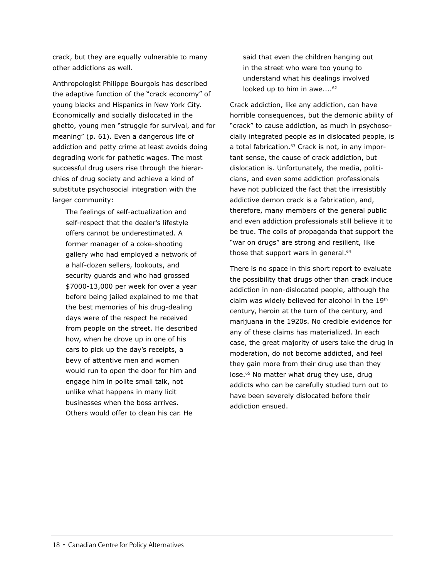crack, but they are equally vulnerable to many other addictions as well.

Anthropologist Philippe Bourgois has described the adaptive function of the "crack economy" of young blacks and Hispanics in New York City. Economically and socially dislocated in the ghetto, young men "struggle for survival, and for meaning" (p. 61). Even a dangerous life of addiction and petty crime at least avoids doing degrading work for pathetic wages. The most successful drug users rise through the hierarchies of drug society and achieve a kind of substitute psychosocial integration with the larger community:

The feelings of self-actualization and self-respect that the dealer's lifestyle offers cannot be underestimated. A former manager of a coke-shooting gallery who had employed a network of a half-dozen sellers, lookouts, and security guards and who had grossed \$7000-13,000 per week for over a year before being jailed explained to me that the best memories of his drug-dealing days were of the respect he received from people on the street. He described how, when he drove up in one of his cars to pick up the day's receipts, a bevy of attentive men and women would run to open the door for him and engage him in polite small talk, not unlike what happens in many licit businesses when the boss arrives. Others would offer to clean his car. He

said that even the children hanging out in the street who were too young to understand what his dealings involved looked up to him in awe....<sup>62</sup>

Crack addiction, like any addiction, can have horrible consequences, but the demonic ability of "crack" to cause addiction, as much in psychosocially integrated people as in dislocated people, is a total fabrication.<sup>63</sup> Crack is not, in any important sense, the cause of crack addiction, but dislocation is. Unfortunately, the media, politicians, and even some addiction professionals have not publicized the fact that the irresistibly addictive demon crack is a fabrication, and, therefore, many members of the general public and even addiction professionals still believe it to be true. The coils of propaganda that support the "war on drugs" are strong and resilient, like those that support wars in general.<sup>64</sup>

There is no space in this short report to evaluate the possibility that drugs other than crack induce addiction in non-dislocated people, although the claim was widely believed for alcohol in the 19th century, heroin at the turn of the century, and marijuana in the 1920s. No credible evidence for any of these claims has materialized. In each case, the great majority of users take the drug in moderation, do not become addicted, and feel they gain more from their drug use than they lose.<sup>65</sup> No matter what drug they use, drug addicts who can be carefully studied turn out to have been severely dislocated before their addiction ensued.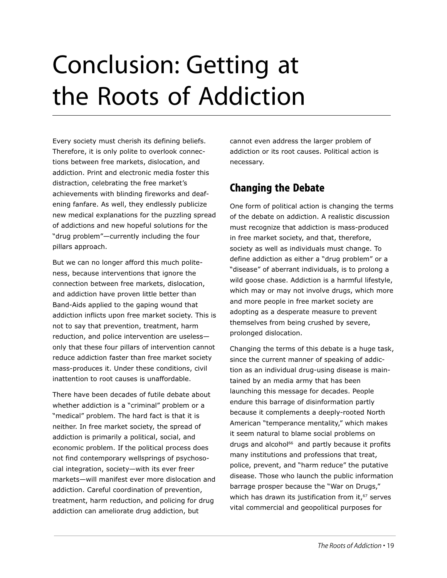## Conclusion: Getting at the Roots of Addiction

Every society must cherish its defining beliefs. Therefore, it is only polite to overlook connections between free markets, dislocation, and addiction. Print and electronic media foster this distraction, celebrating the free market's achievements with blinding fireworks and deafening fanfare. As well, they endlessly publicize new medical explanations for the puzzling spread of addictions and new hopeful solutions for the "drug problem"—currently including the four pillars approach.

But we can no longer afford this much politeness, because interventions that ignore the connection between free markets, dislocation, and addiction have proven little better than Band-Aids applied to the gaping wound that addiction inflicts upon free market society. This is not to say that prevention, treatment, harm reduction, and police intervention are useless only that these four pillars of intervention cannot reduce addiction faster than free market society mass-produces it. Under these conditions, civil inattention to root causes is unaffordable.

There have been decades of futile debate about whether addiction is a "criminal" problem or a "medical" problem. The hard fact is that it is neither. In free market society, the spread of addiction is primarily a political, social, and economic problem. If the political process does not find contemporary wellsprings of psychosocial integration, society—with its ever freer markets—will manifest ever more dislocation and addiction. Careful coordination of prevention, treatment, harm reduction, and policing for drug addiction can ameliorate drug addiction, but

cannot even address the larger problem of addiction or its root causes. Political action is necessary.

### **Changing the Debate**

One form of political action is changing the terms of the debate on addiction. A realistic discussion must recognize that addiction is mass-produced in free market society, and that, therefore, society as well as individuals must change. To define addiction as either a "drug problem" or a "disease" of aberrant individuals, is to prolong a wild goose chase. Addiction is a harmful lifestyle, which may or may not involve drugs, which more and more people in free market society are adopting as a desperate measure to prevent themselves from being crushed by severe, prolonged dislocation.

Changing the terms of this debate is a huge task, since the current manner of speaking of addiction as an individual drug-using disease is maintained by an media army that has been launching this message for decades. People endure this barrage of disinformation partly because it complements a deeply-rooted North American "temperance mentality," which makes it seem natural to blame social problems on drugs and alcohol<sup>66</sup> and partly because it profits many institutions and professions that treat, police, prevent, and "harm reduce" the putative disease. Those who launch the public information barrage prosper because the "War on Drugs," which has drawn its justification from it, $67$  serves vital commercial and geopolitical purposes for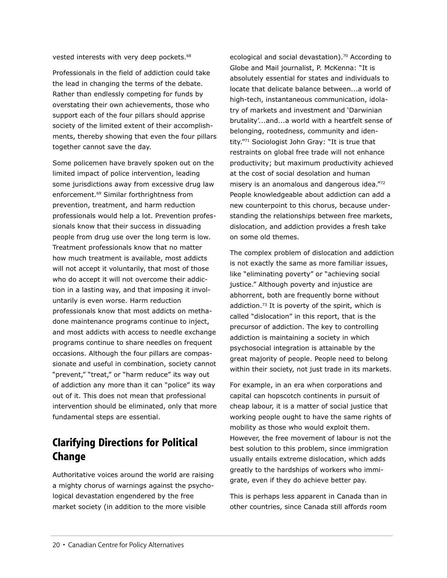vested interests with very deep pockets.<sup>68</sup>

Professionals in the field of addiction could take the lead in changing the terms of the debate. Rather than endlessly competing for funds by overstating their own achievements, those who support each of the four pillars should apprise society of the limited extent of their accomplishments, thereby showing that even the four pillars together cannot save the day.

Some policemen have bravely spoken out on the limited impact of police intervention, leading some jurisdictions away from excessive drug law enforcement.69 Similar forthrightness from prevention, treatment, and harm reduction professionals would help a lot. Prevention professionals know that their success in dissuading people from drug use over the long term is low. Treatment professionals know that no matter how much treatment is available, most addicts will not accept it voluntarily, that most of those who do accept it will not overcome their addiction in a lasting way, and that imposing it involuntarily is even worse. Harm reduction professionals know that most addicts on methadone maintenance programs continue to inject, and most addicts with access to needle exchange programs continue to share needles on frequent occasions. Although the four pillars are compassionate and useful in combination, society cannot "prevent," "treat," or "harm reduce" its way out of addiction any more than it can "police" its way out of it. This does not mean that professional intervention should be eliminated, only that more fundamental steps are essential.

## **Clarifying Directions for Political Change**

Authoritative voices around the world are raising a mighty chorus of warnings against the psychological devastation engendered by the free market society (in addition to the more visible

ecological and social devastation).<sup>70</sup> According to Globe and Mail journalist, P. McKenna: "It is absolutely essential for states and individuals to locate that delicate balance between...a world of high-tech, instantaneous communication, idolatry of markets and investment and 'Darwinian brutality'...and...a world with a heartfelt sense of belonging, rootedness, community and identity."71 Sociologist John Gray: "It is true that restraints on global free trade will not enhance productivity; but maximum productivity achieved at the cost of social desolation and human misery is an anomalous and dangerous idea."72 People knowledgeable about addiction can add a new counterpoint to this chorus, because understanding the relationships between free markets, dislocation, and addiction provides a fresh take on some old themes.

The complex problem of dislocation and addiction is not exactly the same as more familiar issues, like "eliminating poverty" or "achieving social justice." Although poverty and injustice are abhorrent, both are frequently borne without addiction.73 It is poverty of the spirit, which is called "dislocation" in this report, that is the precursor of addiction. The key to controlling addiction is maintaining a society in which psychosocial integration is attainable by the great majority of people. People need to belong within their society, not just trade in its markets.

For example, in an era when corporations and capital can hopscotch continents in pursuit of cheap labour, it is a matter of social justice that working people ought to have the same rights of mobility as those who would exploit them. However, the free movement of labour is not the best solution to this problem, since immigration usually entails extreme dislocation, which adds greatly to the hardships of workers who immigrate, even if they do achieve better pay.

This is perhaps less apparent in Canada than in other countries, since Canada still affords room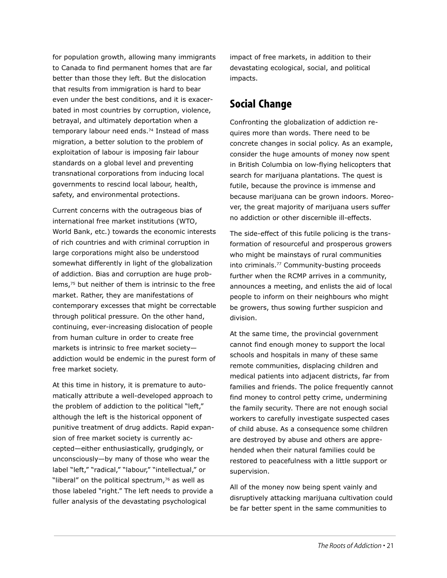for population growth, allowing many immigrants to Canada to find permanent homes that are far better than those they left. But the dislocation that results from immigration is hard to bear even under the best conditions, and it is exacerbated in most countries by corruption, violence, betrayal, and ultimately deportation when a temporary labour need ends.<sup>74</sup> Instead of mass migration, a better solution to the problem of exploitation of labour is imposing fair labour standards on a global level and preventing transnational corporations from inducing local governments to rescind local labour, health, safety, and environmental protections.

Current concerns with the outrageous bias of international free market institutions (WTO, World Bank, etc.) towards the economic interests of rich countries and with criminal corruption in large corporations might also be understood somewhat differently in light of the globalization of addiction. Bias and corruption are huge problems,75 but neither of them is intrinsic to the free market. Rather, they are manifestations of contemporary excesses that might be correctable through political pressure. On the other hand, continuing, ever-increasing dislocation of people from human culture in order to create free markets is intrinsic to free market society addiction would be endemic in the purest form of free market society.

At this time in history, it is premature to automatically attribute a well-developed approach to the problem of addiction to the political "left," although the left is the historical opponent of punitive treatment of drug addicts. Rapid expansion of free market society is currently accepted—either enthusiastically, grudgingly, or unconsciously—by many of those who wear the label "left," "radical," "labour," "intellectual," or "liberal" on the political spectrum, $76$  as well as those labeled "right." The left needs to provide a fuller analysis of the devastating psychological

impact of free markets, in addition to their devastating ecological, social, and political impacts.

### **Social Change**

Confronting the globalization of addiction requires more than words. There need to be concrete changes in social policy. As an example, consider the huge amounts of money now spent in British Columbia on low-flying helicopters that search for marijuana plantations. The quest is futile, because the province is immense and because marijuana can be grown indoors. Moreover, the great majority of marijuana users suffer no addiction or other discernible ill-effects.

The side-effect of this futile policing is the transformation of resourceful and prosperous growers who might be mainstays of rural communities into criminals.77 Community-busting proceeds further when the RCMP arrives in a community, announces a meeting, and enlists the aid of local people to inform on their neighbours who might be growers, thus sowing further suspicion and division.

At the same time, the provincial government cannot find enough money to support the local schools and hospitals in many of these same remote communities, displacing children and medical patients into adjacent districts, far from families and friends. The police frequently cannot find money to control petty crime, undermining the family security. There are not enough social workers to carefully investigate suspected cases of child abuse. As a consequence some children are destroyed by abuse and others are apprehended when their natural families could be restored to peacefulness with a little support or supervision.

All of the money now being spent vainly and disruptively attacking marijuana cultivation could be far better spent in the same communities to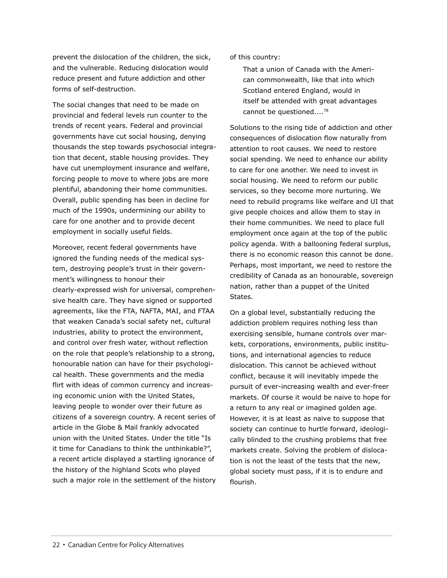prevent the dislocation of the children, the sick, and the vulnerable. Reducing dislocation would reduce present and future addiction and other forms of self-destruction.

The social changes that need to be made on provincial and federal levels run counter to the trends of recent years. Federal and provincial governments have cut social housing, denying thousands the step towards psychosocial integration that decent, stable housing provides. They have cut unemployment insurance and welfare, forcing people to move to where jobs are more plentiful, abandoning their home communities. Overall, public spending has been in decline for much of the 1990s, undermining our ability to care for one another and to provide decent employment in socially useful fields.

Moreover, recent federal governments have ignored the funding needs of the medical system, destroying people's trust in their government's willingness to honour their clearly-expressed wish for universal, comprehensive health care. They have signed or supported agreements, like the FTA, NAFTA, MAI, and FTAA that weaken Canada's social safety net, cultural industries, ability to protect the environment, and control over fresh water, without reflection on the role that people's relationship to a strong, honourable nation can have for their psychological health. These governments and the media flirt with ideas of common currency and increasing economic union with the United States, leaving people to wonder over their future as citizens of a sovereign country. A recent series of article in the Globe & Mail frankly advocated union with the United States. Under the title "Is it time for Canadians to think the unthinkable?", a recent article displayed a startling ignorance of the history of the highland Scots who played such a major role in the settlement of the history of this country:

That a union of Canada with the American commonwealth, like that into which Scotland entered England, would in itself be attended with great advantages cannot be questioned....78

Solutions to the rising tide of addiction and other consequences of dislocation flow naturally from attention to root causes. We need to restore social spending. We need to enhance our ability to care for one another. We need to invest in social housing. We need to reform our public services, so they become more nurturing. We need to rebuild programs like welfare and UI that give people choices and allow them to stay in their home communities. We need to place full employment once again at the top of the public policy agenda. With a ballooning federal surplus, there is no economic reason this cannot be done. Perhaps, most important, we need to restore the credibility of Canada as an honourable, sovereign nation, rather than a puppet of the United States.

On a global level, substantially reducing the addiction problem requires nothing less than exercising sensible, humane controls over markets, corporations, environments, public institutions, and international agencies to reduce dislocation. This cannot be achieved without conflict, because it will inevitably impede the pursuit of ever-increasing wealth and ever-freer markets. Of course it would be naive to hope for a return to any real or imagined golden age. However, it is at least as naive to suppose that society can continue to hurtle forward, ideologically blinded to the crushing problems that free markets create. Solving the problem of dislocation is not the least of the tests that the new, global society must pass, if it is to endure and flourish.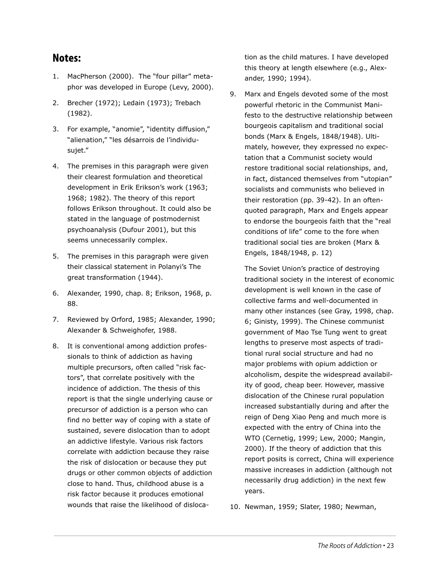### **Notes:**

- 1. MacPherson (2000). The "four pillar" metaphor was developed in Europe (Levy, 2000).
- 2. Brecher (1972); Ledain (1973); Trebach (1982).
- 3. For example, "anomie", "identity diffusion," "alienation," "les désarrois de l'individusujet."
- 4. The premises in this paragraph were given their clearest formulation and theoretical development in Erik Erikson's work (1963; 1968; 1982). The theory of this report follows Erikson throughout. It could also be stated in the language of postmodernist psychoanalysis (Dufour 2001), but this seems unnecessarily complex.
- 5. The premises in this paragraph were given their classical statement in Polanyi's The great transformation (1944).
- 6. Alexander, 1990, chap. 8; Erikson, 1968, p. 88.
- 7. Reviewed by Orford, 1985; Alexander, 1990; Alexander & Schweighofer, 1988.
- 8. It is conventional among addiction professionals to think of addiction as having multiple precursors, often called "risk factors", that correlate positively with the incidence of addiction. The thesis of this report is that the single underlying cause or precursor of addiction is a person who can find no better way of coping with a state of sustained, severe dislocation than to adopt an addictive lifestyle. Various risk factors correlate with addiction because they raise the risk of dislocation or because they put drugs or other common objects of addiction close to hand. Thus, childhood abuse is a risk factor because it produces emotional wounds that raise the likelihood of disloca-

tion as the child matures. I have developed this theory at length elsewhere (e.g., Alexander, 1990; 1994).

9. Marx and Engels devoted some of the most powerful rhetoric in the Communist Manifesto to the destructive relationship between bourgeois capitalism and traditional social bonds (Marx & Engels, 1848/1948). Ultimately, however, they expressed no expectation that a Communist society would restore traditional social relationships, and, in fact, distanced themselves from "utopian" socialists and communists who believed in their restoration (pp. 39-42). In an oftenquoted paragraph, Marx and Engels appear to endorse the bourgeois faith that the "real conditions of life" come to the fore when traditional social ties are broken (Marx & Engels, 1848/1948, p. 12)

The Soviet Union's practice of destroying traditional society in the interest of economic development is well known in the case of collective farms and well-documented in many other instances (see Gray, 1998, chap. 6; Ginisty, 1999). The Chinese communist government of Mao Tse Tung went to great lengths to preserve most aspects of traditional rural social structure and had no major problems with opium addiction or alcoholism, despite the widespread availability of good, cheap beer. However, massive dislocation of the Chinese rural population increased substantially during and after the reign of Deng Xiao Peng and much more is expected with the entry of China into the WTO (Cernetig, 1999; Lew, 2000; Mangin, 2000). If the theory of addiction that this report posits is correct, China will experience massive increases in addiction (although not necessarily drug addiction) in the next few years.

10. Newman, 1959; Slater, 1980; Newman,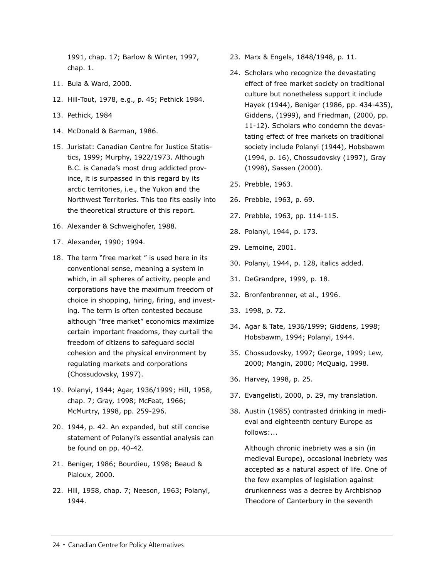1991, chap. 17; Barlow & Winter, 1997, chap. 1.

- 11. Bula & Ward, 2000.
- 12. Hill-Tout, 1978, e.g., p. 45; Pethick 1984.
- 13. Pethick, 1984
- 14. McDonald & Barman, 1986.
- 15. Juristat: Canadian Centre for Justice Statistics, 1999; Murphy, 1922/1973. Although B.C. is Canada's most drug addicted province, it is surpassed in this regard by its arctic territories, i.e., the Yukon and the Northwest Territories. This too fits easily into the theoretical structure of this report.
- 16. Alexander & Schweighofer, 1988.
- 17. Alexander, 1990; 1994.
- 18. The term "free market " is used here in its conventional sense, meaning a system in which, in all spheres of activity, people and corporations have the maximum freedom of choice in shopping, hiring, firing, and investing. The term is often contested because although "free market" economics maximize certain important freedoms, they curtail the freedom of citizens to safeguard social cohesion and the physical environment by regulating markets and corporations (Chossudovsky, 1997).
- 19. Polanyi, 1944; Agar, 1936/1999; Hill, 1958, chap. 7; Gray, 1998; McFeat, 1966; McMurtry, 1998, pp. 259-296.
- 20. 1944, p. 42. An expanded, but still concise statement of Polanyi's essential analysis can be found on pp. 40-42.
- 21. Beniger, 1986; Bourdieu, 1998; Beaud & Pialoux, 2000.
- 22. Hill, 1958, chap. 7; Neeson, 1963; Polanyi, 1944.
- 23. Marx & Engels, 1848/1948, p. 11.
- 24. Scholars who recognize the devastating effect of free market society on traditional culture but nonetheless support it include Hayek (1944), Beniger (1986, pp. 434-435), Giddens, (1999), and Friedman, (2000, pp. 11-12). Scholars who condemn the devastating effect of free markets on traditional society include Polanyi (1944), Hobsbawm (1994, p. 16), Chossudovsky (1997), Gray (1998), Sassen (2000).
- 25. Prebble, 1963.
- 26. Prebble, 1963, p. 69.
- 27. Prebble, 1963, pp. 114-115.
- 28. Polanyi, 1944, p. 173.
- 29. Lemoine, 2001.
- 30. Polanyi, 1944, p. 128, italics added.
- 31. DeGrandpre, 1999, p. 18.
- 32. Bronfenbrenner, et al., 1996.
- 33. 1998, p. 72.
- 34. Agar & Tate, 1936/1999; Giddens, 1998; Hobsbawm, 1994; Polanyi, 1944.
- 35. Chossudovsky, 1997; George, 1999; Lew, 2000; Mangin, 2000; McQuaig, 1998.
- 36. Harvey, 1998, p. 25.
- 37. Evangelisti, 2000, p. 29, my translation.
- 38. Austin (1985) contrasted drinking in medieval and eighteenth century Europe as follows:...

Although chronic inebriety was a sin (in medieval Europe), occasional inebriety was accepted as a natural aspect of life. One of the few examples of legislation against drunkenness was a decree by Archbishop Theodore of Canterbury in the seventh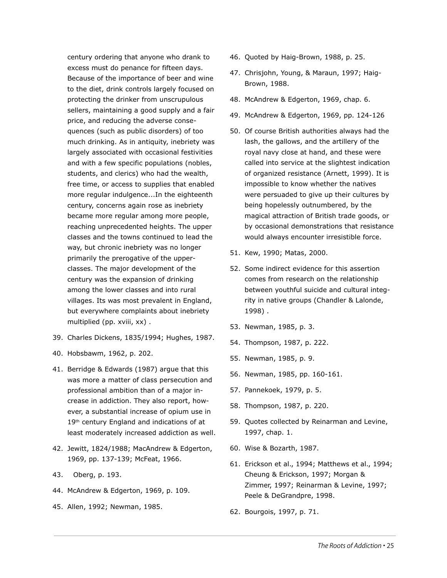century ordering that anyone who drank to excess must do penance for fifteen days. Because of the importance of beer and wine to the diet, drink controls largely focused on protecting the drinker from unscrupulous sellers, maintaining a good supply and a fair price, and reducing the adverse consequences (such as public disorders) of too much drinking. As in antiquity, inebriety was largely associated with occasional festivities and with a few specific populations (nobles, students, and clerics) who had the wealth, free time, or access to supplies that enabled more regular indulgence...In the eighteenth century, concerns again rose as inebriety became more regular among more people, reaching unprecedented heights. The upper classes and the towns continued to lead the way, but chronic inebriety was no longer primarily the prerogative of the upperclasses. The major development of the century was the expansion of drinking among the lower classes and into rural villages. Its was most prevalent in England, but everywhere complaints about inebriety multiplied (pp. xviii, xx) .

- 39. Charles Dickens, 1835/1994; Hughes, 1987.
- 40. Hobsbawm, 1962, p. 202.
- 41. Berridge & Edwards (1987) argue that this was more a matter of class persecution and professional ambition than of a major increase in addiction. They also report, however, a substantial increase of opium use in 19<sup>th</sup> century England and indications of at least moderately increased addiction as well.
- 42. Jewitt, 1824/1988; MacAndrew & Edgerton, 1969, pp. 137-139; McFeat, 1966.
- 43. Oberg, p. 193.
- 44. McAndrew & Edgerton, 1969, p. 109.
- 45. Allen, 1992; Newman, 1985.
- 46. Quoted by Haig-Brown, 1988, p. 25.
- 47. Chrisjohn, Young, & Maraun, 1997; Haig-Brown, 1988.
- 48. McAndrew & Edgerton, 1969, chap. 6.
- 49. McAndrew & Edgerton, 1969, pp. 124-126
- 50. Of course British authorities always had the lash, the gallows, and the artillery of the royal navy close at hand, and these were called into service at the slightest indication of organized resistance (Arnett, 1999). It is impossible to know whether the natives were persuaded to give up their cultures by being hopelessly outnumbered, by the magical attraction of British trade goods, or by occasional demonstrations that resistance would always encounter irresistible force.
- 51. Kew, 1990; Matas, 2000.
- 52. Some indirect evidence for this assertion comes from research on the relationship between youthful suicide and cultural integrity in native groups (Chandler & Lalonde, 1998) .
- 53. Newman, 1985, p. 3.
- 54. Thompson, 1987, p. 222.
- 55. Newman, 1985, p. 9.
- 56. Newman, 1985, pp. 160-161.
- 57. Pannekoek, 1979, p. 5.
- 58. Thompson, 1987, p. 220.
- 59. Quotes collected by Reinarman and Levine, 1997, chap. 1.
- 60. Wise & Bozarth, 1987.
- 61. Erickson et al., 1994; Matthews et al., 1994; Cheung & Erickson, 1997; Morgan & Zimmer, 1997; Reinarman & Levine, 1997; Peele & DeGrandpre, 1998.
- 62. Bourgois, 1997, p. 71.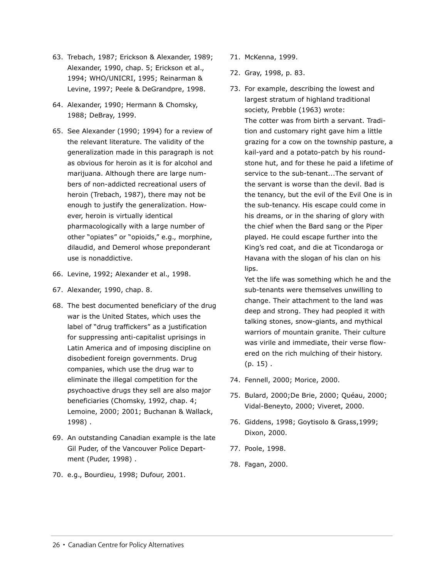- 63. Trebach, 1987; Erickson & Alexander, 1989; Alexander, 1990, chap. 5; Erickson et al., 1994; WHO/UNICRI, 1995; Reinarman & Levine, 1997; Peele & DeGrandpre, 1998.
- 64. Alexander, 1990; Hermann & Chomsky, 1988; DeBray, 1999.
- 65. See Alexander (1990; 1994) for a review of the relevant literature. The validity of the generalization made in this paragraph is not as obvious for heroin as it is for alcohol and marijuana. Although there are large numbers of non-addicted recreational users of heroin (Trebach, 1987), there may not be enough to justify the generalization. However, heroin is virtually identical pharmacologically with a large number of other "opiates" or "opioids," e.g., morphine, dilaudid, and Demerol whose preponderant use is nonaddictive.
- 66. Levine, 1992; Alexander et al., 1998.
- 67. Alexander, 1990, chap. 8.
- 68. The best documented beneficiary of the drug war is the United States, which uses the label of "drug traffickers" as a justification for suppressing anti-capitalist uprisings in Latin America and of imposing discipline on disobedient foreign governments. Drug companies, which use the drug war to eliminate the illegal competition for the psychoactive drugs they sell are also major beneficiaries (Chomsky, 1992, chap. 4; Lemoine, 2000; 2001; Buchanan & Wallack, 1998) .
- 69. An outstanding Canadian example is the late Gil Puder, of the Vancouver Police Department (Puder, 1998) .
- 70. e.g., Bourdieu, 1998; Dufour, 2001.
- 71. McKenna, 1999.
- 72. Gray, 1998, p. 83.
- 73. For example, describing the lowest and largest stratum of highland traditional society, Prebble (1963) wrote: The cotter was from birth a servant. Tradition and customary right gave him a little grazing for a cow on the township pasture, a kail-yard and a potato-patch by his roundstone hut, and for these he paid a lifetime of service to the sub-tenant...The servant of the servant is worse than the devil. Bad is the tenancy, but the evil of the Evil One is in the sub-tenancy. His escape could come in his dreams, or in the sharing of glory with the chief when the Bard sang or the Piper played. He could escape further into the King's red coat, and die at Ticondaroga or Havana with the slogan of his clan on his lips.

Yet the life was something which he and the sub-tenants were themselves unwilling to change. Their attachment to the land was deep and strong. They had peopled it with talking stones, snow-giants, and mythical warriors of mountain granite. Their culture was virile and immediate, their verse flowered on the rich mulching of their history. (p. 15) .

- 74. Fennell, 2000; Morice, 2000.
- 75. Bulard, 2000;De Brie, 2000; Quéau, 2000; Vidal-Beneyto, 2000; Viveret, 2000.
- 76. Giddens, 1998; Goytisolo & Grass,1999; Dixon, 2000.
- 77. Poole, 1998.
- 78. Fagan, 2000.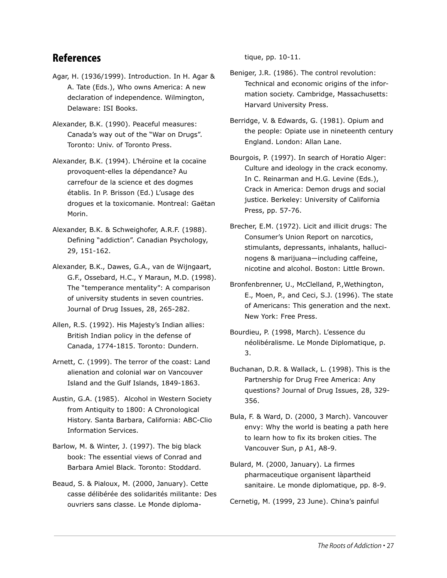### **References**

- Agar, H. (1936/1999). Introduction. In H. Agar & A. Tate (Eds.), Who owns America: A new declaration of independence. Wilmington, Delaware: ISI Books.
- Alexander, B.K. (1990). Peaceful measures: Canada's way out of the "War on Drugs". Toronto: Univ. of Toronto Press.
- Alexander, B.K. (1994). L'héroïne et la cocaïne provoquent-elles la dépendance? Au carrefour de la science et des dogmes établis. In P. Brisson (Ed.) L'usage des drogues et la toxicomanie. Montreal: Gaëtan Morin.
- Alexander, B.K. & Schweighofer, A.R.F. (1988). Defining "addiction". Canadian Psychology, 29, 151-162.
- Alexander, B.K., Dawes, G.A., van de Wijngaart, G.F., Ossebard, H.C., Y Maraun, M.D. (1998). The "temperance mentality": A comparison of university students in seven countries. Journal of Drug Issues, 28, 265-282.
- Allen, R.S. (1992). His Majesty's Indian allies: British Indian policy in the defense of Canada, 1774-1815. Toronto: Dundern.
- Arnett, C. (1999). The terror of the coast: Land alienation and colonial war on Vancouver Island and the Gulf Islands, 1849-1863.
- Austin, G.A. (1985). Alcohol in Western Society from Antiquity to 1800: A Chronological History. Santa Barbara, California: ABC-Clio Information Services.
- Barlow, M. & Winter, J. (1997). The big black book: The essential views of Conrad and Barbara Amiel Black. Toronto: Stoddard.
- Beaud, S. & Pialoux, M. (2000, January). Cette casse délibérée des solidarités militante: Des ouvriers sans classe. Le Monde diploma-

tique, pp. 10-11.

- Beniger, J.R. (1986). The control revolution: Technical and economic origins of the information society. Cambridge, Massachusetts: Harvard University Press.
- Berridge, V. & Edwards, G. (1981). Opium and the people: Opiate use in nineteenth century England. London: Allan Lane.
- Bourgois, P. (1997). In search of Horatio Alger: Culture and ideology in the crack economy. In C. Reinarman and H.G. Levine (Eds.), Crack in America: Demon drugs and social justice. Berkeley: University of California Press, pp. 57-76.
- Brecher, E.M. (1972). Licit and illicit drugs: The Consumer's Union Report on narcotics, stimulants, depressants, inhalants, hallucinogens & marijuana—including caffeine, nicotine and alcohol. Boston: Little Brown.
- Bronfenbrenner, U., McClelland, P.,Wethington, E., Moen, P., and Ceci, S.J. (1996). The state of Americans: This generation and the next. New York: Free Press.
- Bourdieu, P. (1998, March). L'essence du néolibéralisme. Le Monde Diplomatique, p. 3.
- Buchanan, D.R. & Wallack, L. (1998). This is the Partnership for Drug Free America: Any questions? Journal of Drug Issues, 28, 329- 356.
- Bula, F. & Ward, D. (2000, 3 March). Vancouver envy: Why the world is beating a path here to learn how to fix its broken cities. The Vancouver Sun, p A1, A8-9.
- Bulard, M. (2000, January). La firmes pharmaceutique organisent làpartheid sanitaire. Le monde diplomatique, pp. 8-9.

Cernetig, M. (1999, 23 June). China's painful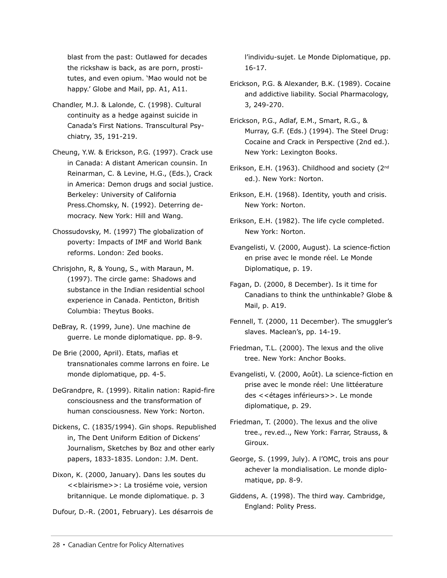blast from the past: Outlawed for decades the rickshaw is back, as are porn, prostitutes, and even opium. 'Mao would not be happy.' Globe and Mail, pp. A1, A11.

Chandler, M.J. & Lalonde, C. (1998). Cultural continuity as a hedge against suicide in Canada's First Nations. Transcultural Psychiatry, 35, 191-219.

Cheung, Y.W. & Erickson, P.G. (1997). Crack use in Canada: A distant American counsin. In Reinarman, C. & Levine, H.G., (Eds.), Crack in America: Demon drugs and social justice. Berkeley: University of California Press.Chomsky, N. (1992). Deterring democracy. New York: Hill and Wang.

- Chossudovsky, M. (1997) The globalization of poverty: Impacts of IMF and World Bank reforms. London: Zed books.
- Chrisjohn, R, & Young, S., with Maraun, M. (1997). The circle game: Shadows and substance in the Indian residential school experience in Canada. Penticton, British Columbia: Theytus Books.
- DeBray, R. (1999, June). Une machine de guerre. Le monde diplomatique. pp. 8-9.
- De Brie (2000, April). Etats, mafias et transnationales comme larrons en foire. Le monde diplomatique, pp. 4-5.
- DeGrandpre, R. (1999). Ritalin nation: Rapid-fire consciousness and the transformation of human consciousness. New York: Norton.
- Dickens, C. (1835/1994). Gin shops. Republished in, The Dent Uniform Edition of Dickens' Journalism, Sketches by Boz and other early papers, 1833-1835. London: J.M. Dent.
- Dixon, K. (2000, January). Dans les soutes du <<blairisme>>: La trosiéme voie, version britannique. Le monde diplomatique. p. 3

Dufour, D.-R. (2001, February). Les désarrois de

l'individu-sujet. Le Monde Diplomatique, pp. 16-17.

- Erickson, P.G. & Alexander, B.K. (1989). Cocaine and addictive liability. Social Pharmacology, 3, 249-270.
- Erickson, P.G., Adlaf, E.M., Smart, R.G., & Murray, G.F. (Eds.) (1994). The Steel Drug: Cocaine and Crack in Perspective (2nd ed.). New York: Lexington Books.
- Erikson, E.H. (1963). Childhood and society (2nd ed.). New York: Norton.
- Erikson, E.H. (1968). Identity, youth and crisis. New York: Norton.
- Erikson, E.H. (1982). The life cycle completed. New York: Norton.
- Evangelisti, V. (2000, August). La science-fiction en prise avec le monde réel. Le Monde Diplomatique, p. 19.
- Fagan, D. (2000, 8 December). Is it time for Canadians to think the unthinkable? Globe & Mail, p. A19.
- Fennell, T. (2000, 11 December). The smuggler's slaves. Maclean's, pp. 14-19.
- Friedman, T.L. (2000). The lexus and the olive tree. New York: Anchor Books.
- Evangelisti, V. (2000, Août). La science-fiction en prise avec le monde réel: Une littéerature des <<étages inférieurs>>. Le monde diplomatique, p. 29.
- Friedman, T. (2000). The lexus and the olive tree., rev.ed.., New York: Farrar, Strauss, & Giroux.
- George, S. (1999, July). A l'OMC, trois ans pour achever la mondialisation. Le monde diplomatique, pp. 8-9.
- Giddens, A. (1998). The third way. Cambridge, England: Polity Press.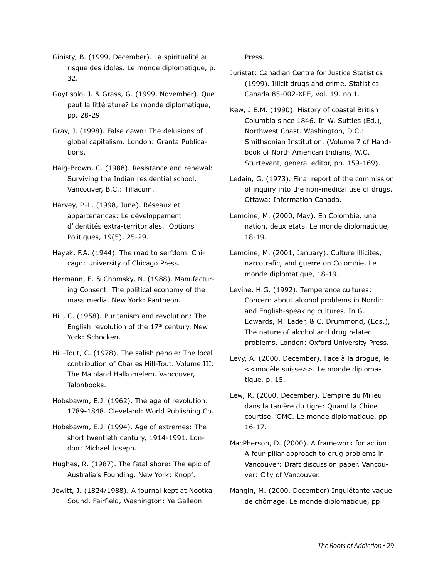Ginisty, B. (1999, December). La spiritualité au risque des idoles. Le monde diplomatique, p. 32.

Goytisolo, J. & Grass, G. (1999, November). Que peut la littérature? Le monde diplomatique, pp. 28-29.

Gray, J. (1998). False dawn: The delusions of global capitalism. London: Granta Publications.

Haig-Brown, C. (1988). Resistance and renewal: Surviving the Indian residential school. Vancouver, B.C.: Tillacum.

Harvey, P.-L. (1998, June). Réseaux et appartenances: Le développement d'identités extra-territoriales. Options Politiques, 19(5), 25-29.

Hayek, F.A. (1944). The road to serfdom. Chicago: University of Chicago Press.

Hermann, E. & Chomsky, N. (1988). Manufacturing Consent: The political economy of the mass media. New York: Pantheon.

Hill, C. (1958). Puritanism and revolution: The English revolution of the  $17<sup>th</sup>$  century. New York: Schocken.

Hill-Tout, C. (1978). The salish pepole: The local contribution of Charles Hill-Tout. Volume III: The Mainland Halkomelem. Vancouver, Talonbooks.

Hobsbawm, E.J. (1962). The age of revolution: 1789-1848. Cleveland: World Publishing Co.

Hobsbawm, E.J. (1994). Age of extremes: The short twentieth century, 1914-1991. London: Michael Joseph.

Hughes, R. (1987). The fatal shore: The epic of Australia's Founding. New York: Knopf.

Jewitt, J. (1824/1988). A journal kept at Nootka Sound. Fairfield, Washington: Ye Galleon

Press.

Juristat: Canadian Centre for Justice Statistics (1999). Illicit drugs and crime. Statistics Canada 85-002-XPE, vol. 19. no 1.

Kew, J.E.M. (1990). History of coastal British Columbia since 1846. In W. Suttles (Ed.), Northwest Coast. Washington, D.C.: Smithsonian Institution. (Volume 7 of Handbook of North American Indians, W.C. Sturtevant, general editor, pp. 159-169).

Ledain, G. (1973). Final report of the commission of inquiry into the non-medical use of drugs. Ottawa: Information Canada.

Lemoine, M. (2000, May). En Colombie, une nation, deux etats. Le monde diplomatique, 18-19.

Lemoine, M. (2001, January). Culture illicites, narcotrafic, and guerre on Colombie. Le monde diplomatique, 18-19.

Levine, H.G. (1992). Temperance cultures: Concern about alcohol problems in Nordic and English-speaking cultures. In G. Edwards, M. Lader, & C. Drummond, (Eds.), The nature of alcohol and drug related problems. London: Oxford University Press.

Levy, A. (2000, December). Face à la drogue, le <<modèle suisse>>. Le monde diplomatique, p. 15.

Lew, R. (2000, December). L'empire du Milieu dans la tanière du tigre: Quand la Chine courtise l'OMC. Le monde diplomatique, pp. 16-17.

MacPherson, D. (2000). A framework for action: A four-pillar approach to drug problems in Vancouver: Draft discussion paper. Vancouver: City of Vancouver.

Mangin, M. (2000, December) Inquiétante vague de chômage. Le monde diplomatique, pp.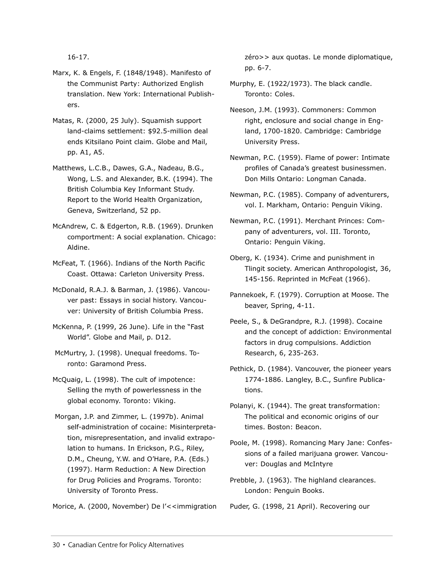16-17.

- Marx, K. & Engels, F. (1848/1948). Manifesto of the Communist Party: Authorized English translation. New York: International Publishers.
- Matas, R. (2000, 25 July). Squamish support land-claims settlement: \$92.5-million deal ends Kitsilano Point claim. Globe and Mail, pp. A1, A5.
- Matthews, L.C.B., Dawes, G.A., Nadeau, B.G., Wong, L.S. and Alexander, B.K. (1994). The British Columbia Key Informant Study. Report to the World Health Organization, Geneva, Switzerland, 52 pp.
- McAndrew, C. & Edgerton, R.B. (1969). Drunken comportment: A social explanation. Chicago: Aldine.
- McFeat, T. (1966). Indians of the North Pacific Coast. Ottawa: Carleton University Press.
- McDonald, R.A.J. & Barman, J. (1986). Vancouver past: Essays in social history. Vancouver: University of British Columbia Press.
- McKenna, P. (1999, 26 June). Life in the "Fast World". Globe and Mail, p. D12.
- McMurtry, J. (1998). Unequal freedoms. Toronto: Garamond Press.
- McQuaig, L. (1998). The cult of impotence: Selling the myth of powerlessness in the global economy. Toronto: Viking.
- Morgan, J.P. and Zimmer, L. (1997b). Animal self-administration of cocaine: Misinterpretation, misrepresentation, and invalid extrapolation to humans. In Erickson, P.G., Riley, D.M., Cheung, Y.W. and O'Hare, P.A. (Eds.) (1997). Harm Reduction: A New Direction for Drug Policies and Programs. Toronto: University of Toronto Press.

Morice, A. (2000, November) De l'<<immigration

zéro>> aux quotas. Le monde diplomatique, pp. 6-7.

- Murphy, E. (1922/1973). The black candle. Toronto: Coles.
- Neeson, J.M. (1993). Commoners: Common right, enclosure and social change in England, 1700-1820. Cambridge: Cambridge University Press.
- Newman, P.C. (1959). Flame of power: Intimate profiles of Canada's greatest businessmen. Don Mills Ontario: Longman Canada.
- Newman, P.C. (1985). Company of adventurers, vol. I. Markham, Ontario: Penguin Viking.
- Newman, P.C. (1991). Merchant Princes: Company of adventurers, vol. III. Toronto, Ontario: Penguin Viking.
- Oberg, K. (1934). Crime and punishment in Tlingit society. American Anthropologist, 36, 145-156. Reprinted in McFeat (1966).
- Pannekoek, F. (1979). Corruption at Moose. The beaver, Spring, 4-11.
- Peele, S., & DeGrandpre, R.J. (1998). Cocaine and the concept of addiction: Environmental factors in drug compulsions. Addiction Research, 6, 235-263.
- Pethick, D. (1984). Vancouver, the pioneer years 1774-1886. Langley, B.C., Sunfire Publications.
- Polanyi, K. (1944). The great transformation: The political and economic origins of our times. Boston: Beacon.
- Poole, M. (1998). Romancing Mary Jane: Confessions of a failed marijuana grower. Vancouver: Douglas and McIntyre
- Prebble, J. (1963). The highland clearances. London: Penguin Books.

Puder, G. (1998, 21 April). Recovering our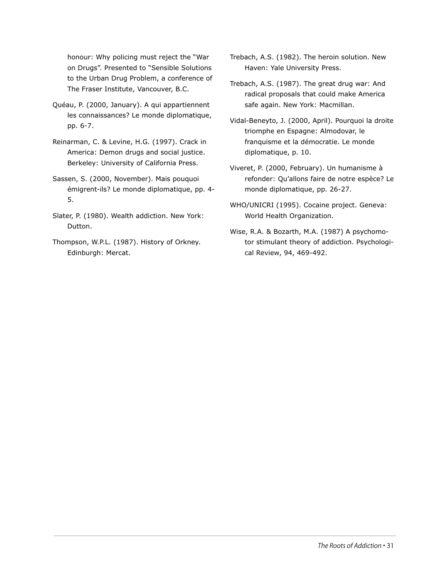honour: Why policing must reject the "War on Drugs". Presented to "Sensible Solutions to the Urban Drug Problem, a conference of The Fraser Institute, Vancouver, B.C.

- Quéau, P. (2000, January). A qui appartiennent les connaissances? Le monde diplomatique, pp. 6-7.
- Reinarman, C. & Levine, H.G. (1997). Crack in America: Demon drugs and social justice. Berkeley: University of California Press.
- Sassen, S. (2000, November). Mais pouquoi émigrent-ils? Le monde diplomatique, pp. 4- 5.
- Slater, P. (1980). Wealth addiction. New York: Dutton.
- Thompson, W.P.L. (1987). History of Orkney. Edinburgh: Mercat.
- Trebach, A.S. (1982). The heroin solution. New Haven: Yale University Press.
- Trebach, A.S. (1987). The great drug war: And radical proposals that could make America safe again. New York: Macmillan.
- Vidal-Beneyto, J. (2000, April). Pourquoi la droite triomphe en Espagne: Almodovar, le franquisme et la démocratie. Le monde diplomatique, p. 10.
- Viveret, P. (2000, February). Un humanisme à refonder: Qu'allons faire de notre espèce? Le monde diplomatique, pp. 26-27.
- WHO/UNICRI (1995). Cocaine project. Geneva: World Health Organization.
- Wise, R.A. & Bozarth, M.A. (1987) A psychomotor stimulant theory of addiction. Psychological Review, 94, 469-492.